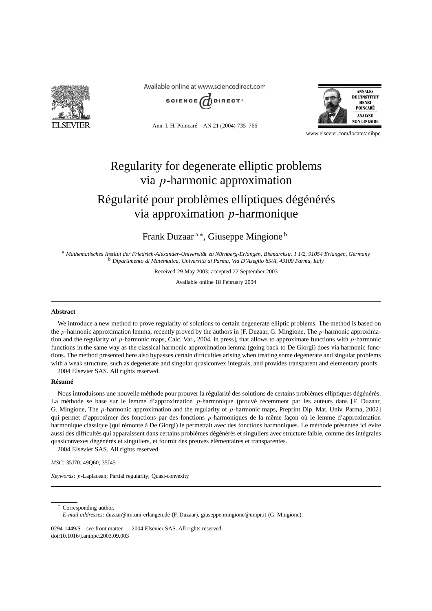

Available online at www.sciencedirect.com



Ann. I. H. Poincaré – AN 21 (2004) 735–766



www.elsevier.com/locate/anihpc

# Regularity for degenerate elliptic problems via *p*-harmonic approximation

## Régularité pour problèmes elliptiques dégénérés via approximation *p*-harmonique

Frank Duzaar <sup>a</sup>*,*<sup>∗</sup> , Giuseppe Mingione <sup>b</sup>

<sup>a</sup> *Mathematisches Institut der Friedrich-Alexander-Universität zu Nürnberg-Erlangen, Bismarckstr. 1 1/2, 91054 Erlangen, Germany* <sup>b</sup> *Dipartimento di Matematica, Università di Parma, Via D'Azeglio 85/A, 43100 Parma, Italy*

Received 29 May 2003; accepted 22 September 2003

Available online 18 February 2004

#### **Abstract**

We introduce a new method to prove regularity of solutions to certain degenerate elliptic problems. The method is based on the *p*-harmonic approximation lemma, recently proved by the authors in [F. Duzaar, G. Mingione, The *p*-harmonic approximation and the regularity of *p*-harmonic maps, Calc. Var., 2004, in press], that allows to approximate functions with *p*-harmonic functions in the same way as the classical harmonic approximation lemma (going back to De Giorgi) does via harmonic functions. The method presented here also bypasses certain difficulties arising when treating some degenerate and singular problems with a weak structure, such as degenerate and singular quasiconvex integrals, and provides transparent and elementary proofs. 2004 Elsevier SAS. All rights reserved.

#### **Résumé**

Nous introduisons une nouvelle méthode pour prouver la régularité des solutions de certains problèmes elliptiques dégénérés. La méthode se base sur le lemme d'approximation *p*-harmonique (prouvé récemment par les auteurs dans [F. Duzaar, G. Mingione, The *p*-harmonic approximation and the regularity of *p*-harmonic maps, Preprint Dip. Mat. Univ. Parma, 2002] qui permet d'approximer des fonctions par des fonctions *p*-harmoniques de la même façon où le lemme d'approximation harmonique classique (qui rémonte à De Giorgi) le permettait avec des fonctions harmoniques. Le méthode présentée ici évite aussi des difficultés qui apparaissent dans certains problèmes dégénérés et singuliers avec structure faible, comme des intégrales quasiconvexes dégénérés et singuliers, et fournit des preuves élémentaires et transparentes. 2004 Elsevier SAS. All rights reserved.

*MSC:* 35J70; 49Q60; 35J45

*Keywords: p*-Laplacean; Partial regularity; Quasi-convexity

Corresponding author.

 $0294-1449/\$$  – see front matter  $\odot$  2004 Elsevier SAS. All rights reserved. doi:10.1016/j.anihpc.2003.09.003

*E-mail addresses:* duzaar@mi.uni-erlangen.de (F. Duzaar), giuseppe.mingione@unipr.it (G. Mingione).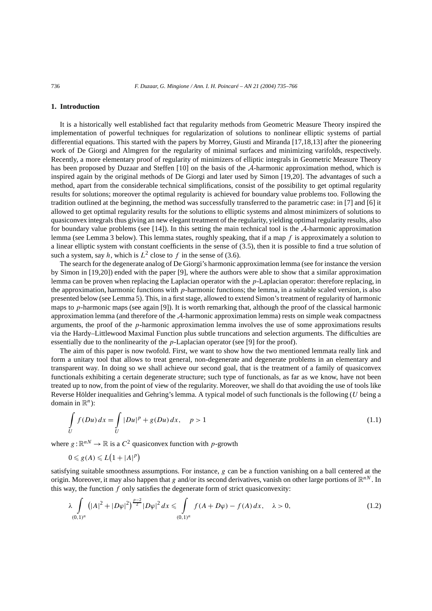#### **1. Introduction**

It is a historically well established fact that regularity methods from Geometric Measure Theory inspired the implementation of powerful techniques for regularization of solutions to nonlinear elliptic systems of partial differential equations. This started with the papers by Morrey, Giusti and Miranda [17,18,13] after the pioneering work of De Giorgi and Almgren for the regularity of minimal surfaces and minimizing varifolds, respectively. Recently, a more elementary proof of regularity of minimizers of elliptic integrals in Geometric Measure Theory has been proposed by Duzaar and Steffen [10] on the basis of the A-harmonic approximation method, which is inspired again by the original methods of De Giorgi and later used by Simon [19,20]. The advantages of such a method, apart from the considerable technical simplifications, consist of the possibility to get optimal regularity results for solutions; moreover the optimal regularity is achieved for boundary value problems too. Following the tradition outlined at the beginning, the method was successfully transferred to the parametric case: in [7] and [6] it allowed to get optimal regularity results for the solutions to elliptic systems and almost minimizers of solutions to quasiconvex integrals thus giving an new elegant treatment of the regularity, yielding optimal regularity results, also for boundary value problems (see [14]). In this setting the main technical tool is the  $A$ -harmonic approximation lemma (see Lemma 3 below). This lemma states, roughly speaking, that if a map *f* is approximately a solution to a linear elliptic system with constant coefficients in the sense of (3.5), then it is possible to find a true solution of such a system, say *h*, which is  $L^2$  close to *f* in the sense of (3.6).

The search for the degenerate analog of De Giorgi's harmonic approximation lemma (see for instance the version by Simon in [19,20]) ended with the paper [9], where the authors were able to show that a similar approximation lemma can be proven when replacing the Laplacian operator with the *p*-Laplacian operator: therefore replacing, in the approximation, harmonic functions with *p*-harmonic functions; the lemma, in a suitable scaled version, is also presented below (see Lemma 5). This, in a first stage, allowed to extend Simon's treatment of regularity of harmonic maps to *p*-harmonic maps (see again [9]). It is worth remarking that, although the proof of the classical harmonic approximation lemma (and therefore of the A-harmonic approximation lemma) rests on simple weak compactness arguments, the proof of the *p*-harmonic approximation lemma involves the use of some approximations results via the Hardy–Littlewood Maximal Function plus subtle truncations and selection arguments. The difficulties are essentially due to the nonlinearity of the *p*-Laplacian operator (see [9] for the proof).

The aim of this paper is now twofold. First, we want to show how the two mentioned lemmata really link and form a unitary tool that allows to treat general, non-degenerate and degenerate problems in an elementary and transparent way. In doing so we shall achieve our second goal, that is the treatment of a family of quasiconvex functionals exhibiting a certain degenerate structure; such type of functionals, as far as we know, have not been treated up to now, from the point of view of the regularity. Moreover, we shall do that avoiding the use of tools like Reverse Hölder inequalities and Gehring's lemma. A typical model of such functionals is the following (*U* being a domain in  $\mathbb{R}^n$ :

$$
\int_{U} f(Du) dx = \int_{U} |Du|^{p} + g(Du) dx, \quad p > 1
$$
\n(1.1)

where  $g: \mathbb{R}^{n} \to \mathbb{R}$  is a  $C^2$  quasiconvex function with *p*-growth

$$
0 \leqslant g(A) \leqslant L\big(1+|A|^p\big)
$$

satisfying suitable smoothness assumptions. For instance, *g* can be a function vanishing on a ball centered at the origin. Moreover, it may also happen that *g* and/or its second derivatives, vanish on other large portions of  $\mathbb{R}^{nN}$ . In this way, the function  $f$  only satisfies the degenerate form of strict quasiconvexity:

$$
\lambda \int_{(0,1)^n} (|A|^2 + |D\varphi|^2)^{\frac{p-2}{2}} |D\varphi|^2 dx \leq \int_{(0,1)^n} f(A + D\varphi) - f(A) dx, \quad \lambda > 0,
$$
\n(1.2)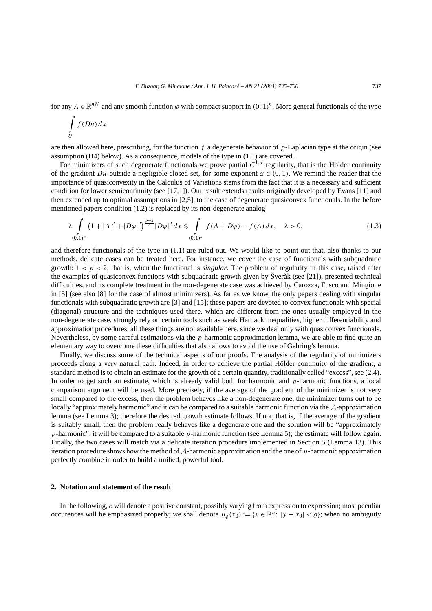for any  $A \in \mathbb{R}^{nN}$  and any smooth function  $\varphi$  with compact support in  $(0, 1)^n$ . More general functionals of the type

$$
\int\limits_U f(Du)\,dx
$$

are then allowed here, prescribing, for the function *f* a degenerate behavior of *p*-Laplacian type at the origin (see assumption (H4) below). As a consequence, models of the type in (1.1) are covered.

For minimizers of such degenerate functionals we prove partial  $C^{1,\alpha}$  regularity, that is the Hölder continuity of the gradient *Du* outside a negligible closed set, for some exponent  $\alpha \in (0, 1)$ . We remind the reader that the importance of quasiconvexity in the Calculus of Variations stems from the fact that it is a necessary and sufficient condition for lower semicontinuity (see [17,1]). Our result extends results originally developed by Evans [11] and then extended up to optimal assumptions in [2,5], to the case of degenerate quasiconvex functionals. In the before mentioned papers condition (1.2) is replaced by its non-degenerate analog

$$
\lambda \int_{(0,1)^n} \left(1+|A|^2+|D\varphi|^2\right)^{\frac{p-2}{2}} |D\varphi|^2 dx \leq \int_{(0,1)^n} f(A+D\varphi) - f(A) dx, \quad \lambda > 0,
$$
\n(1.3)

and therefore functionals of the type in (1.1) are ruled out. We would like to point out that, also thanks to our methods, delicate cases can be treated here. For instance, we cover the case of functionals with subquadratic growth:  $1 < p < 2$ ; that is, when the functional is *singular*. The problem of regularity in this case, raised after the examples of quasiconvex functions with subquadratic growth given by Šveràk (see [21]), presented technical difficulties, and its complete treatment in the non-degenerate case was achieved by Carozza, Fusco and Mingione in [5] (see also [8] for the case of almost minimizers). As far as we know, the only papers dealing with singular functionals with subquadratic growth are [3] and [15]; these papers are devoted to convex functionals with special (diagonal) structure and the techniques used there, which are different from the ones usually employed in the non-degenerate case, strongly rely on certain tools such as weak Harnack inequalities, higher differentiability and approximation procedures; all these things are not available here, since we deal only with quasiconvex functionals. Nevertheless, by some careful estimations via the *p*-harmonic approximation lemma, we are able to find quite an elementary way to overcome these difficulties that also allows to avoid the use of Gehring's lemma.

Finally, we discuss some of the technical aspects of our proofs. The analysis of the regularity of minimizers proceeds along a very natural path. Indeed, in order to achieve the partial Hölder continuity of the gradient, a standard method is to obtain an estimate for the growth of a certain quantity, traditionally called "excess", see (2.4). In order to get such an estimate, which is already valid both for harmonic and *p*-harmonic functions, a local comparison argument will be used. More precisely, if the average of the gradient of the minimizer is not very small compared to the excess, then the problem behaves like a non-degenerate one, the minimizer turns out to be locally "approximately harmonic" and it can be compared to a suitable harmonic function via the A-approximation lemma (see Lemma 3); therefore the desired growth estimate follows. If not, that is, if the average of the gradient is suitably small, then the problem really behaves like a degenerate one and the solution will be "approximately *p*-harmonic": it will be compared to a suitable *p*-harmonic function (see Lemma 5); the estimate will follow again. Finally, the two cases will match via a delicate iteration procedure implemented in Section 5 (Lemma 13). This iteration procedure shows how the method of A-harmonic approximation and the one of *p*-harmonic approximation perfectly combine in order to build a unified, powerful tool.

#### **2. Notation and statement of the result**

In the following, *c* will denote a positive constant, possibly varying from expression to expression; most peculiar occurences will be emphasized properly; we shall denote  $B_{\varrho}(x_0) := \{x \in \mathbb{R}^n : |y - x_0| < \varrho\}$ ; when no ambiguity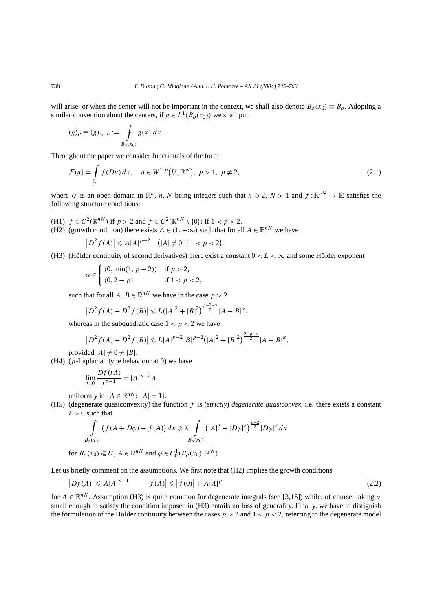will arise, or when the center will not be important in the context, we shall also denote  $B_{\varrho}(x_0) \equiv B_{\varrho}$ . Adopting a similar convention about the centers, if  $g \in L^1(B_0(x_0))$  we shall put:

$$
(g)_{\varrho} \equiv (g)_{x_0, \varrho} := \int\limits_{B_{\varrho}(x_0)} g(x) \, dx.
$$

Throughout the paper we consider functionals of the form

$$
\mathcal{F}(u) = \int_{U} f(Du) dx, \quad u \in W^{1,p}(U, \mathbb{R}^{N}), \ p > 1, \ p \neq 2,
$$
\n(2.1)

where *U* is an open domain in  $\mathbb{R}^n$ , *n*, *N* being integers such that  $n \ge 2$ ,  $N > 1$  and  $f : \mathbb{R}^{nN} \to \mathbb{R}$  satisfies the following structure conditions:

- (H1)  $f \in C^2(\mathbb{R}^{nN})$  if  $p > 2$  and  $f \in C^2(\mathbb{R}^{nN} \setminus \{0\})$  if  $1 < p < 2$ .
- (H2) (growth condition) there exists  $\Lambda \in (1, +\infty)$  such that for all  $A \in \mathbb{R}^{nN}$  we have

$$
\left|D^2f(A)\right|\leqslant A|A|^{p-2} \quad \text{($|A|\neq 0$ if $1
$$

(H3) (Hölder continuity of second derivatives) there exist a constant  $0 < L < \infty$  and some Hölder exponent

$$
\alpha \in \begin{cases} (0, \min(1, p-2)) & \text{if } p > 2, \\ (0, 2-p) & \text{if } 1 < p < 2, \end{cases}
$$

such that for all  $A, B \in \mathbb{R}^{nN}$  we have in the case  $p > 2$ 

$$
\left|D^2 f(A) - D^2 f(B)\right| \leqslant L\big(|A|^2 + |B|^2\big)^{\frac{p-2-\alpha}{2}} |A - B|^{\alpha},
$$

whereas in the subquadratic case  $1 < p < 2$  we have

$$
\left|D^2f(A)-D^2f(B)\right|\leqslant L|A|^{p-2}|B|^{p-2}\big(|A|^2+|B|^2\big)^{\frac{2-p-\alpha}{2}}|A-B|^{\alpha},
$$

provided  $|A| \neq 0 \neq |B|$ .

(H4) (*p*-Laplacian type behaviour at 0) we have

$$
\lim_{t \downarrow 0} \frac{Df(tA)}{t^{p-1}} = |A|^{p-2}A
$$

uniformly in  ${A \in \mathbb{R}^{nN} : |A| = 1}.$ 

(H5) (degenerate quasiconvexity) the function *f* is (*strictly*) *degenerate quasiconvex*, i.e. there exists a constant  $\lambda > 0$  such that

$$
\int_{B_{\varrho}(x_0)} (f(A+D\varphi)-f(A)) dx \ge \lambda \int_{B_{\varrho}(x_0)} (|A|^2+|D\varphi|^2)^{\frac{p-2}{2}} |D\varphi|^2 dx
$$

for 
$$
B_{\varrho}(x_0) \in U
$$
,  $A \in \mathbb{R}^{nN}$  and  $\varphi \in C_0^1(B_{\varrho}(x_0), \mathbb{R}^N)$ .

Let us briefly comment on the assumptions. We first note that (H2) implies the growth conditions

$$
\left|Df(A)\right| \leqslant A|A|^{p-1}, \qquad \left|f(A)\right| \leqslant \left|f(0)\right| + A|A|^p \tag{2.2}
$$

for  $A \in \mathbb{R}^{n}$ . Assumption (H3) is quite common for degenerate integrals (see [3,15]) while, of course, taking  $\alpha$ small enough to satisfy the condition imposed in (H3) entails no loss of generality. Finally, we have to distiguish the formulation of the Hölder continuity between the cases  $p > 2$  and  $1 < p < 2$ , referring to the degenerate model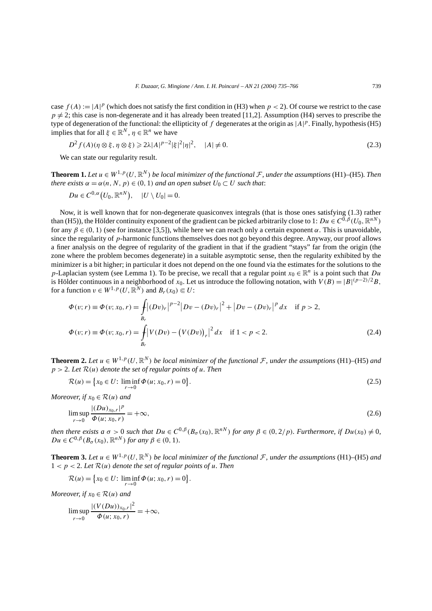case  $f(A) := |A|^p$  (which does not satisfy the first condition in (H3) when  $p < 2$ ). Of course we restrict to the case  $p \neq 2$ ; this case is non-degenerate and it has already been treated [11,2]. Assumption (H4) serves to prescribe the type of degeneration of the functional: the ellipticity of  $f$  degenerates at the origin as  $|A|^p$ . Finally, hypothesis (H5) implies that for all  $\xi \in \mathbb{R}^N$ ,  $\eta \in \mathbb{R}^n$  we have

$$
D^{2} f(A)(\eta \otimes \xi, \eta \otimes \xi) \ge 2\lambda |A|^{p-2} |\xi|^{2} |\eta|^{2}, \quad |A| \ne 0.
$$
 (2.3)

We can state our regularity result.

**Theorem 1.** Let  $u \in W^{1,p}(U,\mathbb{R}^N)$  be local minimizer of the functional F, under the assumptions (H1)–(H5)*.* Then *there exists*  $\alpha = \alpha(n, N, p) \in (0, 1)$  *and an open subset*  $U_0 \subset U$  *such that:* 

$$
Du\in C^{0,\alpha}(U_0,\mathbb{R}^{nN}),\quad |U\setminus U_0|=0.
$$

Now, it is well known that for non-degenerate quasiconvex integrals (that is those ones satisfying (1.3) rather than (H5)), the Hölder continuity exponent of the gradient can be picked arbitrarily close to 1:  $Du \in C^{\overline{0},\beta}(U_0,\mathbb{R}^{nN})$ for any  $\beta \in (0, 1)$  (see for instance [3,5]), while here we can reach only a certain exponent  $\alpha$ . This is unavoidable, since the regularity of *p*-harmonic functions themselves does not go beyond this degree. Anyway, our proof allows a finer analysis on the degree of regularity of the gradient in that if the gradient "stays" far from the origin (the zone where the problem becomes degenerate) in a suitable asymptotic sense, then the regularity exhibited by the minimizer is a bit higher; in particular it does not depend on the one found via the estimates for the solutions to the *p*-Laplacian system (see Lemma 1). To be precise, we recall that a regular point  $x_0 \in \mathbb{R}^n$  is a point such that  $Du$ is Hölder continuous in a neighborhood of *x*<sub>0</sub>. Let us introduce the following notation, with  $V(B) = |B|^{(p-2)/2}B$ , for a function  $v \in W^{1,p}(U,\mathbb{R}^N)$  and  $B_r(x_0) \subseteq U$ :

$$
\Phi(v; r) \equiv \Phi(v; x_0, r) = \int_{B_r} |(Dv)_r|^{p-2} |Dv - (Dv)_r|^2 + |Dv - (Dv)_r|^p dx \quad \text{if } p > 2,
$$
  

$$
\Phi(v; r) \equiv \Phi(v; x_0, r) = \int_{B_r} |V(Dv) - (V(Dv))_r|^2 dx \quad \text{if } 1 < p < 2.
$$
 (2.4)

**Theorem 2.** Let  $u \in W^{1,p}(U,\mathbb{R}^N)$  be local minimizer of the functional F, under the assumptions (H1)–(H5) and *p >* 2*. Let* R*(u) denote the set of regular points of u. Then*

$$
\mathcal{R}(u) = \{x_0 \in U: \liminf_{r \to 0} \Phi(u; x_0, r) = 0\}.
$$
\n(2.5)

*Moreover, if*  $x_0 \in \mathcal{R}(u)$  *and* 

$$
\limsup_{r \to 0} \frac{|(Du)_{x_0,r}|^p}{\Phi(u; x_0, r)} = +\infty, \tag{2.6}
$$

then there exists a  $\sigma > 0$  such that  $Du \in C^{0,\beta}(B_{\sigma}(x_0), \mathbb{R}^{n})$  for any  $\beta \in (0, 2/p)$ . Furthermore, if  $Du(x_0) \neq 0$ ,  $Du \in C^{0,\beta}(B_{\sigma}(x_0), \mathbb{R}^{nN})$  *for any*  $\beta \in (0,1)$ *.* 

**Theorem 3.** Let  $u \in W^{1,p}(U,\mathbb{R}^N)$  be local minimizer of the functional F, under the assumptions (H1)–(H5) and  $1 < p < 2$ *. Let*  $\mathcal{R}(u)$  *denote the set of regular points of u. Then* 

$$
\mathcal{R}(u) = \big\{ x_0 \in U: \liminf_{r \to 0} \Phi(u; x_0, r) = 0 \big\}.
$$

*Moreover, if*  $x_0 \in \mathcal{R}(u)$  *and* 

$$
\limsup_{r \to 0} \frac{|(V(Du))_{x_0,r}|^2}{\Phi(u; x_0, r)} = +\infty,
$$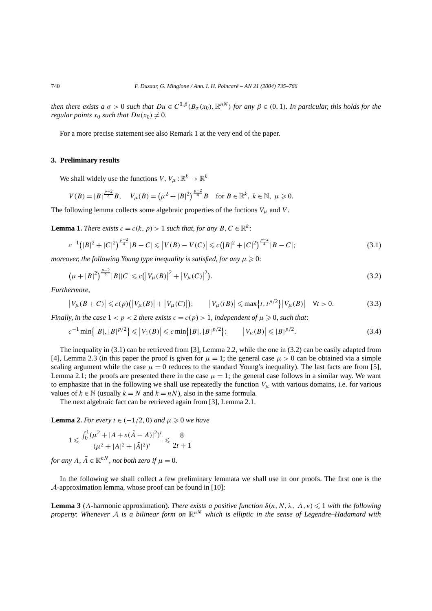then there exists a  $\sigma > 0$  such that  $Du \in C^{0,\beta}(B_{\sigma}(x_0), \mathbb{R}^{n})$  for any  $\beta \in (0,1)$ . In particular, this holds for the *regular points*  $x_0$  *such that*  $Du(x_0) \neq 0$ .

For a more precise statement see also Remark 1 at the very end of the paper.

#### **3. Preliminary results**

We shall widely use the functions  $V, V_\mu : \mathbb{R}^k \to \mathbb{R}^k$ 

$$
V(B) = |B|^{\frac{p-2}{2}}B, \quad V_{\mu}(B) = (\mu^2 + |B|^2)^{\frac{p-2}{4}}B \quad \text{for } B \in \mathbb{R}^k, \ k \in \mathbb{N}, \ \mu \geq 0.
$$

The following lemma collects some algebraic properties of the fuctions  $V_\mu$  and  $V$ .

**Lemma 1.** *There exists*  $c = c(k, p) > 1$  *such that, for any*  $B, C \in \mathbb{R}^k$ :

$$
c^{-1}(|B|^2 + |C|^2)^{\frac{p-2}{4}}|B - C| \leq |V(B) - V(C)| \leq c(|B|^2 + |C|^2)^{\frac{p-2}{4}}|B - C|;
$$
\n(3.1)

*moreover, the following Young type inequality is satisfied, for any*  $\mu \geqslant 0$ *:* 

$$
\left(\mu + |B|^2\right)^{\frac{p-2}{2}}|B||C| \leqslant c\left(\left|V_{\mu}(B)\right|^2 + \left|V_{\mu}(C)\right|^2\right).
$$
\n(3.2)

*Furthermore,*

$$
\left|V_{\mu}(B+C)\right| \leqslant c(p)\left(\left|V_{\mu}(B)\right|+\left|V_{\mu}(C)\right|\right); \qquad \left|V_{\mu}(tB)\right| \leqslant \max\left\{t, t^{p/2}\right\}\left|V_{\mu}(B)\right| \quad \forall t > 0. \tag{3.3}
$$

*Finally, in the case*  $1 < p < 2$  *there exists*  $c = c(p) > 1$ *, independent of*  $\mu \geq 0$ *, such that:* 

$$
c^{-1}\min\{|B|,|B|^{p/2}\}\leq |V_1(B)|\leq c\min\{|B|,|B|^{p/2}\};\qquad |V_\mu(B)|\leq |B|^{p/2}.\tag{3.4}
$$

The inequality in (3.1) can be retrieved from [3], Lemma 2.2, while the one in (3.2) can be easily adapted from [4], Lemma 2.3 (in this paper the proof is given for  $\mu = 1$ ; the general case  $\mu > 0$  can be obtained via a simple scaling argument while the case  $\mu = 0$  reduces to the standard Young's inequality). The last facts are from [5], Lemma 2.1; the proofs are presented there in the case  $\mu = 1$ ; the general case follows in a similar way. We want to emphasize that in the following we shall use repeatedly the function  $V_\mu$  with various domains, i.e. for various values of  $k \in \mathbb{N}$  (usually  $k = N$  and  $k = nN$ ), also in the same formula.

The next algebraic fact can be retrieved again from [3], Lemma 2.1.

**Lemma 2.** For every  $t \in (-1/2, 0)$  and  $\mu \geq 0$  we have

$$
1 \leq \frac{\int_0^1 (\mu^2 + |A + s(\tilde{A} - A)|^2)^t}{(\mu^2 + |A|^2 + |\tilde{A}|^2)^t} \leq \frac{8}{2t + 1}
$$

*for any*  $A, \tilde{A} \in \mathbb{R}^{nN}$ *, not both zero if*  $\mu = 0$ *.* 

In the following we shall collect a few preliminary lemmata we shall use in our proofs. The first one is the A-approximation lemma, whose proof can be found in [10]:

**Lemma 3** (*A*-harmonic approximation). *There exists a positive function*  $\delta(n, N, \lambda, \Lambda, \varepsilon) \leq 1$  *with the following property*: *Whenever* <sup>A</sup> *is a bilinear form on* <sup>R</sup>*nN which is elliptic in the sense of Legendre–Hadamard with*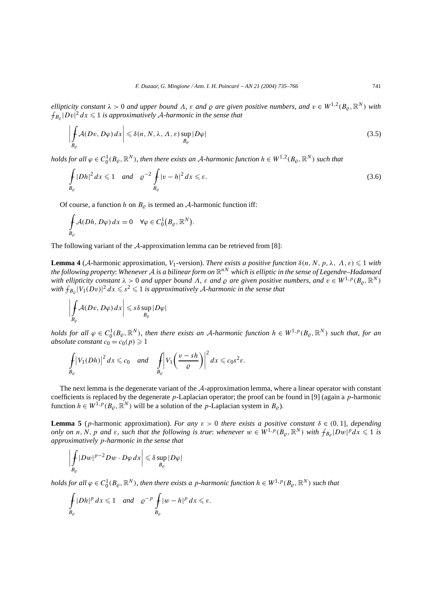*ellipticity constant*  $\lambda > 0$  *and upper bound*  $\Lambda$ ,  $\varepsilon$  *and*  $\varrho$  *are given positive numbers, and*  $v \in W^{1,2}(B_\rho, \mathbb{R}^N)$  *with*  $\int_{B_{\varrho}} |Dv|^2 dx \leqslant 1$  *is approximatively A-harmonic in the sense that* 

$$
\left| \int_{B_{\varrho}} A(Dv, D\varphi) \, dx \right| \leq \delta(n, N, \lambda, \Lambda, \varepsilon) \sup_{B_{\varrho}} |D\varphi| \tag{3.5}
$$

*holds for all*  $\varphi \in C_0^1(B_\varrho,\mathbb{R}^N)$ , then there exists an A-harmonic function  $h \in W^{1,2}(B_\varrho,\mathbb{R}^N)$  such that

$$
\int_{B_{\varrho}} |Dh|^2 dx \leq 1 \quad \text{and} \quad \varrho^{-2} \int_{B_{\varrho}} |v - h|^2 dx \leq \varepsilon. \tag{3.6}
$$

Of course, a function *h* on  $B_{\rho}$  is termed an *A*-harmonic function iff:

$$
\oint_{B_{\varrho}} \mathcal{A}(Dh, D\varphi) dx = 0 \quad \forall \varphi \in C_0^1(B_{\varrho}, \mathbb{R}^N).
$$

The following variant of the A-approximation lemma can be retrieved from [8]:

**Lemma 4** (A-harmonic approximation, *V*<sub>1</sub>-version). *There exists a positive function*  $\delta(n, N, p, \lambda, \Lambda, \varepsilon) \leq 1$  *with the following property*: *Whenever* <sup>A</sup> *is a bilinear form on* <sup>R</sup>*nN which is elliptic in the sense of Legendre–Hadamard with ellipticity constant*  $\lambda > 0$  *and upper bound*  $\Lambda$ ,  $\varepsilon$  *and*  $\rho$  *are given positive numbers, and*  $v \in W^{1,p}(B_{\rho}, \mathbb{R}^N)$ *with*  $\int_{B_{\rho}} |V_1(Dv)|^2 dx \leqslant s^2 \leqslant 1$  *is approximatively A-harmonic in the sense that* 

$$
\left|\int\limits_{B_{\varrho}} \mathcal{A}(Dv, D\varphi) dx\right| \leqslant s\delta \sup\limits_{B_{\varrho}} |D\varphi|
$$

*holds for all*  $\varphi \in C_0^1(B_\varrho, \mathbb{R}^N)$ , then there exists an A-harmonic function  $h \in W^{1,p}(B_\varrho, \mathbb{R}^N)$  such that, for an *absolute constant*  $c_0 = c_0(p) \geq 1$ 

$$
\int_{B_{\varrho}} \left| V_1(Dh) \right|^2 dx \leq c_0 \quad \text{and} \quad \int_{B_{\varrho}} \left| V_1\left(\frac{v - sh}{\varrho}\right) \right|^2 dx \leq c_0 s^2 \varepsilon.
$$

The next lemma is the degenerate variant of the A-approximation lemma, where a linear operator with constant coefficients is replaced by the degenerate *p*-Laplacian operator; the proof can be found in [9] (again a *p*-harmonic function  $h \in W^{1,p}(B_{\alpha}, \mathbb{R}^N)$  will be a solution of the *p*-Laplacian system in  $B_{\alpha}$ ).

**Lemma 5** (*p*-harmonic approximation). *For any ε >* 0 *there exists a positive constant δ* ∈ *(*0*,* 1]*, depending only on n, N, p and*  $\varepsilon$ *, such that the following is true: whenever*  $w \in W^{1,p}(B_{\varrho}, \mathbb{R}^N)$  with  $\int_{B_{\varrho}} |Dw|^p dx \leq 1$  is *approximatively p-harmonic in the sense that*

$$
\left|\int\limits_{B_{\varrho}} |Dw|^{p-2} Dw \cdot D\varphi \, dx\right| \leqslant \delta \sup_{B_{\varrho}} |D\varphi|
$$

 $holds for \ all \ \varphi \in C^1_0(B_\varrho,\mathbb R^N),$  then there exists a  $p$ -harmonic function  $h\in W^{1,p}(B_\varrho,\mathbb R^N)$  such that

$$
\int_{B_{\varrho}} |Dh|^p \, dx \leq 1 \quad \text{and} \quad \varrho^{-p} \int_{B_{\varrho}} |w - h|^p \, dx \leq \varepsilon.
$$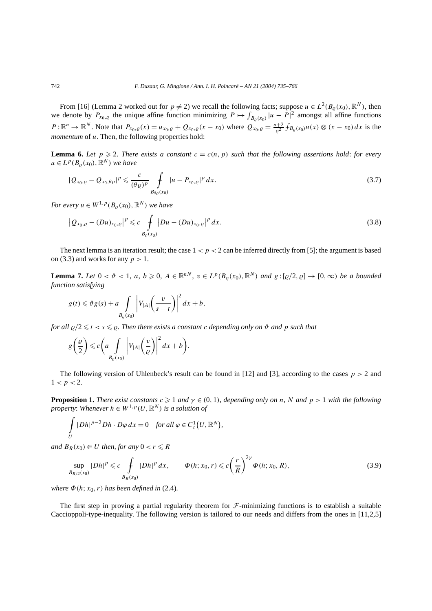From [16] (Lemma 2 worked out for  $p \neq 2$ ) we recall the following facts; suppose  $u \in L^2(B_\rho(x_0), \mathbb{R}^N)$ , then we denote by  $P_{x_0, \varrho}$  the unique affine function minimizing  $P \mapsto \int_{B_{\varrho}(x_0)} |u - P|^2$  amongst all affine functions  $P: \mathbb{R}^n \to \mathbb{R}^N$ . Note that  $P_{x_0, \varrho}(x) = u_{x_0, \varrho} + Q_{x_0, \varrho}(x - x_0)$  where  $Q_{x_0, \varrho} = \frac{n+2}{\varrho^2} f_{B_{\varrho}(x_0)} u(x) \otimes (x - x_0) dx$  is the *momentum* of *u*. Then, the following properties hold:

**Lemma 6.** Let  $p \ge 2$ . There exists a constant  $c = c(n, p)$  such that the following assertions hold: for every  $u \in L^p(B_o(x_0), \mathbb{R}^N)$  *we have* 

$$
|Q_{x_0,\varrho}-Q_{x_0,\theta\varrho}|^p \leqslant \frac{c}{(\theta\varrho)^p} \int\limits_{B_{\theta\varrho}(x_0)} |u-P_{x_0,\varrho}|^p dx.
$$
\n
$$
(3.7)
$$

*For every*  $u \in W^{1,p}(B_0(x_0), \mathbb{R}^N)$  *we have* 

$$
\left| Q_{x_0, \varrho} - (Du)_{x_0, \varrho} \right|^p \leq c \int\limits_{B_{\varrho}(x_0)} |Du - (Du)_{x_0, \varrho}|^p \, dx. \tag{3.8}
$$

The next lemma is an iteration result; the case  $1 < p < 2$  can be inferred directly from [5]; the argument is based on (3.3) and works for any *p >* 1.

**Lemma 7.** Let  $0 < \vartheta < 1$ , a,  $b \ge 0$ ,  $A \in \mathbb{R}^{nN}$ ,  $v \in L^p(B_\varrho(x_0), \mathbb{R}^N)$  and  $g: [\varrho/2, \varrho] \to [0, \infty)$  be a bounded *function satisfying*

$$
g(t) \leq \vartheta g(s) + a \int\limits_{B_{\varrho}(x_0)} \left| V_{|A|} \left( \frac{v}{s-t} \right) \right|^2 dx + b,
$$

*for all*  $\varrho/2 \le t < s \le \varrho$ . Then there exists a constant c depending only on  $\vartheta$  and  $p$  such that

$$
g\left(\frac{\varrho}{2}\right) \leqslant c\left(a\int\limits_{B_{\varrho}(x_0)}\left|V_{|A|}\left(\frac{v}{\varrho}\right)\right|^2dx + b\right).
$$

The following version of Uhlenbeck's result can be found in [12] and [3], according to the cases  $p > 2$  and  $1 < p < 2$ .

**Proposition 1.** *There exist constants*  $c \geq 1$  *and*  $\gamma \in (0, 1)$ *, depending only on n, N and*  $p > 1$  *with the following property: Whenever*  $h \in W^{1,p}(U,\mathbb{R}^N)$  *is a solution of* 

$$
\int\limits_U |Dh|^{p-2} Dh \cdot D\varphi \, dx = 0 \quad \text{for all } \varphi \in C_c^1(U, \mathbb{R}^N),
$$

*and*  $B_R(x_0) \subseteq U$  *then, for any*  $0 < r \le R$ 

$$
\sup_{B_{R/2}(x_0)} |Dh|^p \leq c \int_{B_R(x_0)} |Dh|^p \, dx, \qquad \Phi(h; x_0, r) \leq c \left(\frac{r}{R}\right)^{2\gamma} \Phi(h; x_0, R), \tag{3.9}
$$

*where*  $\Phi(h; x_0, r)$  *has been defined in* (2.4)*.* 

The first step in proving a partial regularity theorem for  $\mathcal F$ -minimizing functions is to establish a suitable Caccioppoli-type-inequality. The following version is tailored to our needs and differs from the ones in [11,2,5]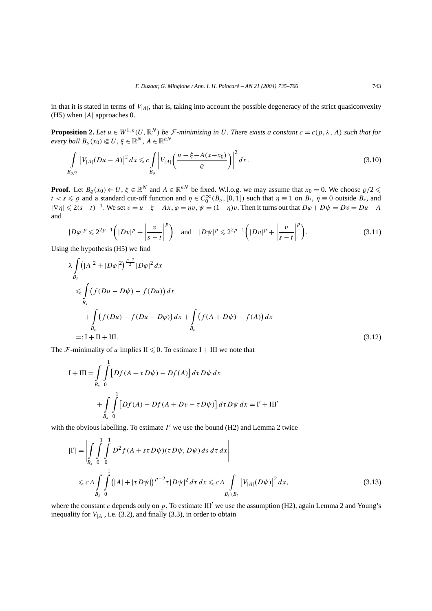in that it is stated in terms of *V*|*A*|, that is, taking into account the possible degeneracy of the strict quasiconvexity (H5) when |*A*| approaches 0.

**Proposition 2.** Let  $u \in W^{1,p}(U,\mathbb{R}^N)$  be  $\mathcal{F}$ -minimizing in U. There exists a constant  $c = c(p, \lambda, \Lambda)$  such that for  $e$ *very ball*  $B_{\varrho}(x_0) \in U$ ,  $\xi \in \mathbb{R}^N$ ,  $A \in \mathbb{R}^{nN}$ 

$$
\int_{B_{\varrho/2}} |V_{|A|}(Du-A)|^2 dx \leq c \int_{B_{\varrho}} \left|V_{|A|}\left(\frac{u-\xi-A(x-x_0)}{\varrho}\right)\right|^2 dx.
$$
\n(3.10)

**Proof.** Let  $B_{\varrho}(x_0) \in U$ ,  $\xi \in \mathbb{R}^N$  and  $A \in \mathbb{R}^{nN}$  be fixed. W.l.o.g. we may assume that  $x_0 = 0$ . We choose  $\varrho/2 \leq$  $t < s \leq \varrho$  and a standard cut-off function and  $\eta \in C_0^{\infty}(B_{\varrho}, [0, 1])$  such that  $\eta \equiv 1$  on  $B_t$ ,  $\eta \equiv 0$  outside  $B_s$ , and  $|\nabla \eta| \leq 2(s-t)^{-1}$ . We set  $v = u - \xi - Ax$ ,  $\varphi = \eta v$ ,  $\psi = (1-\eta)v$ . Then it turns out that  $D\varphi + D\psi = Dv = Du - A$ and

$$
|D\varphi|^p \leq 2^{2p-1} \left( |Dv|^p + \left| \frac{v}{s-t} \right|^p \right) \quad \text{and} \quad |D\psi|^p \leq 2^{2p-1} \left( |Dv|^p + \left| \frac{v}{s-t} \right|^p \right). \tag{3.11}
$$

Using the hypothesis (H5) we find

$$
\lambda \int_{B_{s}} (|A|^{2} + |D\varphi|^{2})^{\frac{p-2}{2}} |D\varphi|^{2} dx
$$
\n
$$
\leq \int_{B_{s}} (f(Du - D\psi) - f(Du)) dx
$$
\n
$$
+ \int_{B_{s}} (f(Du) - f(Du - D\varphi)) dx + \int_{B_{s}} (f(A + D\psi) - f(A)) dx
$$
\n
$$
=: I + II + III.
$$
\n(3.12)

The *F*-minimality of *u* implies  $II \le 0$ . To estimate  $I + III$  we note that

$$
I + III = \int_{B_s} \int_0^1 \left[ Df(A + \tau D\psi) - Df(A) \right] d\tau D\psi dx
$$
  
+ 
$$
\int_{B_s} \int_0^1 \left[ Df(A) - Df(A + Dv - \tau D\psi) \right] d\tau D\psi dx = I' + III'
$$

with the obvious labelling. To estimate  $I'$  we use the bound  $(H2)$  and Lemma 2 twice

$$
|I'| = \left| \int\limits_{B_s} \int\limits_0^1 \int\limits_0^1 D^2 f(A + s\tau D\psi)(\tau D\psi, D\psi) ds \, d\tau \, dx \right|
$$
  
\$\leq c \Lambda \int\limits\_{B\_s} \int\limits\_0^1 (|A| + |\tau D\psi|)^{p-2} \tau |D\psi|^2 d\tau \, dx \leq c \Lambda \int\limits\_{B\_s \setminus B\_t} |V\_{|A|}(D\psi)|^2 dx, \qquad (3.13)\$

where the constant  $c$  depends only on  $p$ . To estimate III' we use the assumption (H2), again Lemma 2 and Young's inequality for  $V_{|A|}$ , i.e. (3.2), and finally (3.3), in order to obtain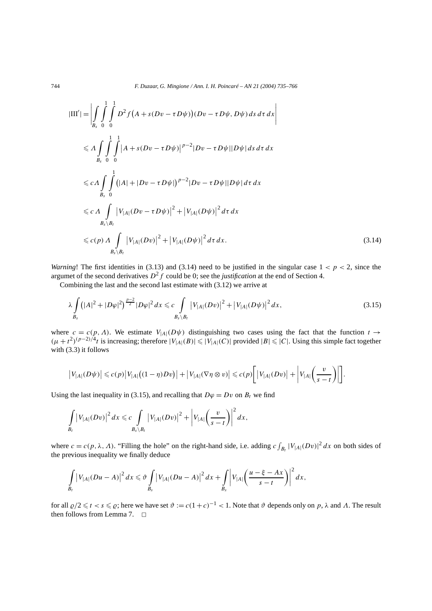744 *F. Duzaar, G. Mingione / Ann. I. H. Poincaré – AN 21 (2004) 735–766*

$$
|III'| = \left| \int_{B_s} \int_{0}^{1} \int_{0}^{1} D^2 f (A + s(Dv - \tau D\psi))(Dv - \tau D\psi, D\psi) ds \, d\tau \, dx \right|
$$
  
\n
$$
\leq \Lambda \int_{B_s} \int_{0}^{1} \int_{0}^{1} |A + s(Dv - \tau D\psi)|^{p-2} |Dv - \tau D\psi||D\psi| ds \, d\tau \, dx
$$
  
\n
$$
\leq c \Lambda \int_{B_s} \int_{0}^{1} (|A| + |Dv - \tau D\psi|)^{p-2} |Dv - \tau D\psi||D\psi| d\tau \, dx
$$
  
\n
$$
\leq c \Lambda \int_{B_s \setminus B_t} |V_{|A|}(Dv - \tau D\psi)|^2 + |V_{|A|}(D\psi)|^2 d\tau \, dx
$$
  
\n
$$
\leq c(p) \Lambda \int_{B_s \setminus B_t} |V_{|A|}(Dv)|^2 + |V_{|A|}(D\psi)|^2 d\tau \, dx.
$$
\n(3.14)

*Warning*! The first identities in (3.13) and (3.14) need to be justified in the singular case  $1 < p < 2$ , since the argumet of the second derivatives  $D^2 f$  could be 0; see the *justification* at the end of Section 4.

Combining the last and the second last estimate with (3.12) we arrive at

$$
\lambda \int_{B_s} (|A|^2 + |D\varphi|^2)^{\frac{p-2}{2}} |D\varphi|^2 dx \leq c \int_{B_s \setminus B_t} |V_{|A|}(Dv)|^2 + |V_{|A|}(D\psi)|^2 dx,
$$
\n(3.15)

where  $c = c(p, \Lambda)$ . We estimate  $V_{|A|}(D\psi)$  distinguishing two cases using the fact that the function  $t \to$  $(\mu + t^2)^{(p-2)/4}$ *t* is increasing; therefore  $|V_{|A|}(B)| \le |V_{|A|}(C)|$  provided  $|B| \le |C|$ . Using this simple fact together with (3.3) it follows

$$
\left|V_{|A|}(D\psi)\right|\leqslant c(p)\left|V_{|A|}\big((1-\eta)D\upsilon\big)\right|+\left|V_{|A|}(\nabla\eta\otimes\upsilon)\right|\leqslant c(p)\left[\left|V_{|A|}(D\upsilon)\right|+\left|V_{|A|}\left(\frac{\upsilon}{s-t}\right)\right|\right].
$$

Using the last inequality in (3.15), and recalling that  $D\varphi = Dv$  on  $B_t$  we find

$$
\int\limits_{B_t} \big|V_{|A|}(Dv)\big|^2\,dx \leqslant c\int\limits_{B_s\setminus B_t} \big|V_{|A|}(Dv)\big|^2 + \bigg|V_{|A|}\bigg(\frac{v}{s-t}\bigg)\bigg|^2\,dx,
$$

where  $c = c(p, \lambda, \Lambda)$ . "Filling the hole" on the right-hand side, i.e. adding  $c \int_{B_t} |V_{|A|}(Dv)|^2 dx$  on both sides of the previous inequality we finally deduce

$$
\int\limits_{B_t} \big|V_{|A|}(Du-A)\big|^2\,dx \leq \vartheta \int\limits_{B_s} \big|V_{|A|}(Du-A)\big|^2\,dx + \int\limits_{B_s} \bigg|V_{|A|}\bigg(\frac{u-\xi-Ax}{s-t}\bigg)\bigg|^2\,dx,
$$

for all  $\varrho/2 \leq t < s \leq \varrho$ ; here we have set  $\vartheta := c(1+c)^{-1} < 1$ . Note that  $\vartheta$  depends only on  $p$ ,  $\lambda$  and  $\Lambda$ . The result then follows from Lemma 7.  $\Box$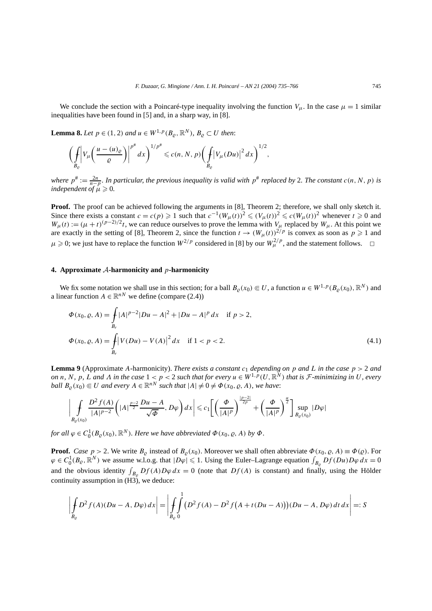We conclude the section with a Poincaré-type inequality involving the function  $V_\mu$ . In the case  $\mu = 1$  similar inequalities have been found in [5] and, in a sharp way, in [8].

**Lemma 8.** *Let p* ∈ (1, 2) *and u* ∈ *W*<sup>1,*p*</sup>( $B$ <sub>*ρ*</sub>,  $\mathbb{R}^N$ ),  $B$ <sub>*ρ*</sub> ⊂ *U then*:

$$
\bigg(\int\limits_{B_{\varrho}}\bigg|V_{\mu}\bigg(\frac{u-(u)_{\varrho}}{\varrho}\bigg)\bigg|^{p^{\#}}dx\bigg)^{1/p^{\#}}\leqslant c(n, N, p)\bigg(\int\limits_{B_{\varrho}}\big|V_{\mu}(Du)\big|^{2}dx\bigg)^{1/2},
$$

*where*  $p^* := \frac{2n}{n-p}$ *. In particular, the previous inequality is valid with*  $p^*$  *replaced by* 2*. The constant*  $c(n, N, p)$  *is independent of*  $\mu \geqslant 0$ .

**Proof.** The proof can be achieved following the arguments in [8], Theorem 2; therefore, we shall only sketch it. Since there exists a constant  $c = c(p) \geq 1$  such that  $c^{-1}(W_\mu(t))^2 \leq (V_\mu(t))^2 \leq c(W_\mu(t))^2$  whenever  $t \geq 0$  and  $W_{\mu}(t) := (\mu + t)^{(p-2)/2}t$ , we can reduce ourselves to prove the lemma with  $V_{\mu}$  replaced by  $W_{\mu}$ . At this point we are exactly in the setting of [8], Theorem 2, since the function  $t \to (W_\mu(t))^{2/p}$  is convex as soon as  $p \ge 1$  and  $\mu \ge 0$ ; we just have to replace the function  $W^{2/p}$  considered in [8] by our  $W^{2/p}_\mu$ , and the statement follows.  $\Box$ 

#### **4. Approximate** A**-harmonicity and** *p***-harmonicity**

We fix some notation we shall use in this section; for a ball  $B_0(x_0) \in U$ , a function  $u \in W^{1,p}(B_0(x_0), \mathbb{R}^N)$  and a linear function  $A \in \mathbb{R}^{nN}$  we define (compare (2.4))

$$
\Phi(x_0, \varrho, A) = \int_{B_r} |A|^{p-2} |Du - A|^2 + |Du - A|^p dx \quad \text{if } p > 2,
$$
  

$$
\Phi(x_0, \varrho, A) = \int_{B_r} |V(Du) - V(A)|^2 dx \quad \text{if } 1 < p < 2.
$$
 (4.1)

**Lemma 9** (Approximate A-harmonicity). *There exists a constant*  $c_1$  *depending on*  $p$  *and*  $L$  *in the case*  $p > 2$  *and* on n, N, p, L and A in the case  $1 < p < 2$  such that for every  $u \in W^{1,p}(U,\mathbb{R}^N)$  that is F-minimizing in U, every *ball*  $B_0(x_0) \subseteq U$  *and every*  $A \in \mathbb{R}^{nN}$  *such that*  $|A| \neq 0 \neq \Phi(x_0, \rho, A)$ *, we have:* 

$$
\left|\int\limits_{B_{\varrho}(x_0)}\frac{D^2f(A)}{|A|^{p-2}}\left(|A|^{\frac{p-2}{2}}\frac{Du-A}{\sqrt{\varPhi}},D\varphi\right)dx\right|\leqslant c_1\left[\left(\frac{\varPhi}{|A|^p}\right)^{\frac{|p-2|}{2p}}+\left(\frac{\varPhi}{|A|^p}\right)^{\frac{\alpha}{2}}\right]\sup\limits_{B_{\varrho}(x_0)}|D\varphi|
$$

*for all*  $\varphi \in C_0^1(B_\varrho(x_0), \mathbb{R}^N)$ *. Here we have abbreviated*  $\Phi(x_0, \varrho, A)$  *by*  $\Phi$ *.* 

**Proof.** *Case*  $p > 2$ . We write  $B_{\varrho}$  instead of  $B_{\varrho}(x_0)$ . Moreover we shall often abbreviate  $\Phi(x_0, \varrho, A) \equiv \Phi(\varrho)$ . For  $\varphi \in C_0^1(B_\varrho, \mathbb{R}^N)$  we assume w.l.o.g. that  $|D\varphi| \leq 1$ . Using the Euler–Lagrange equation  $\int_{B_\varrho} Df(Du)D\varphi dx = 0$ and the obvious identity  $\int_{B_{\rho}} Df(A)D\varphi dx = 0$  (note that  $Df(A)$  is constant) and finally, using the Hölder continuity assumption in (H3), we deduce:

$$
\left| \oint_{B_{\varrho}} D^2 f(A) (Du - A, D\varphi) \, dx \right| = \left| \oint_{B_{\varrho}} \int_{0}^{1} (D^2 f(A) - D^2 f(A + t(Du - A))) (Du - A, D\varphi) \, dt \, dx \right| =: S
$$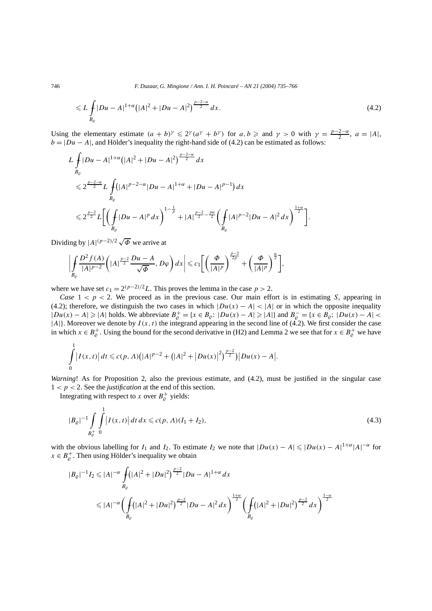746 *F. Duzaar, G. Mingione / Ann. I. H. Poincaré – AN 21 (2004) 735–766*

$$
\leqslant L \int_{B_{\varrho}} |Du - A|^{1+\alpha} \left(|A|^2 + |Du - A|^2\right)^{\frac{p-2-\alpha}{2}} dx. \tag{4.2}
$$

Using the elementary estimate  $(a + b)^{\gamma} \leq 2^{\gamma}(a^{\gamma} + b^{\gamma})$  for  $a, b \geq a$  and  $\gamma > 0$  with  $\gamma = \frac{p-2-\alpha}{2}, a = |A|$ ,  $b = |Du - A|$ , and Hölder's inequality the right-hand side of (4.2) can be estimated as follows:

$$
L \int_{B_{\varrho}} |Du - A|^{1+\alpha} (|A|^2 + |Du - A|^2)^{\frac{p-2-\alpha}{2}} dx
$$
  
\n
$$
\leq 2^{\frac{p-2-\alpha}{2}} L \int_{B_{\varrho}} (|A|^{p-2-\alpha} |Du - A|^{1+\alpha} + |Du - A|^{p-1}) dx
$$
  
\n
$$
\leq 2^{\frac{p-2}{2}} L \Biggl[ \Biggl( \int_{B_{\varrho}} |Du - A|^p dx \Biggr)^{1-\frac{1}{p}} + |A|^{\frac{p-2}{2}-\frac{p\alpha}{2}} \Biggl( \int_{B_{\varrho}} |A|^{p-2} |Du - A|^2 dx \Biggr)^{\frac{1+\alpha}{2}} \Biggr].
$$

Dividing by  $|A|^{(p-2)/2} \sqrt{\Phi}$  we arrive at

$$
\left|\int\limits_{B_{\varrho}}\frac{D^2f(A)}{|A|^{p-2}}\left(|A|^{\frac{p-2}{2}}\frac{Du-A}{\sqrt{\Phi}},D\varphi\right)dx\right|\leqslant c_1\bigg[\bigg(\frac{\Phi}{|A|^p}\bigg)^{\frac{p-2}{2p}}+\bigg(\frac{\Phi}{|A|^p}\bigg)^{\frac{\alpha}{2}}\bigg],
$$

where we have set  $c_1 = 2^{(p-2)/2}L$ . This proves the lemma in the case  $p > 2$ .

*Case*  $1 < p < 2$ . We proceed as in the previous case. Our main effort is in estimating *S*, appearing in (4.2); therefore, we distinguish the two cases in which  $|Du(x) - A| < |A|$  or in which the opposite inequality |*Du(x)* − *A*|  $\ge$  |*A*| holds. We abbreviate  $B_{\varrho}^+ = \{x \in B_{\varrho} : |Du(x) - A| \ge |A|\}$  and  $B_{\varrho}^- = \{x \in B_{\varrho} : |Du(x) - A| < |A|\}$  $|A|$ . Moreover we denote by  $I(x, t)$  the integrand appearing in the second line of  $(4.2)$ . We first consider the case in which  $x \in B^{\perp}_{\varrho}$ . Using the bound for the second derivative in (H2) and Lemma 2 we see that for  $x \in B^{\perp}_{\varrho}$  we have

$$
\int_{0}^{1} |I(x,t)| dt \leqslant c(p,\Lambda) \big(|A|^{p-2} + (|A|^{2} + |Du(x)|^{2})^{\frac{p-2}{2}}\big) |Du(x) - A|.
$$

*Warning*! As for Proposition 2, also the previous estimate, and (4.2), must be justified in the singular case  $1 < p < 2$ . See the *justification* at the end of this section.

Integrating with respect to *x* over  $B_{\varrho}^+$  yields:

$$
|B_{\varrho}|^{-1} \int\limits_{B_{\varrho}^+} \int\limits_0^1 |I(x,t)| \, dt \, dx \leqslant c(p,\Lambda)(I_1 + I_2), \tag{4.3}
$$

with the obvious labelling for *I*<sub>1</sub> and *I*<sub>2</sub>. To estimate *I*<sub>2</sub> we note that  $|Du(x) - A| \leq |Du(x) - A|^{1+\alpha}|A|^{-\alpha}$  for  $x \in B^+_{\varrho}$ . Then using Hölder's inequality we obtain

$$
|B_{\varrho}|^{-1} I_2 \leq |A|^{-\alpha} \int_{B_{\varrho}} (|A|^2 + |Du|^2)^{\frac{p-2}{2}} |Du - A|^{1+\alpha} dx
$$
  

$$
\leq |A|^{-\alpha} \Biggl(\int_{B_{\varrho}} (|A|^2 + |Du|^2)^{\frac{p-2}{2}} |Du - A|^2 dx\Biggr)^{\frac{1+\alpha}{2}} \Biggl(\int_{B_{\varrho}} (|A|^2 + |Du|^2)^{\frac{p-2}{2}} dx\Biggr)^{\frac{1-\alpha}{2}}
$$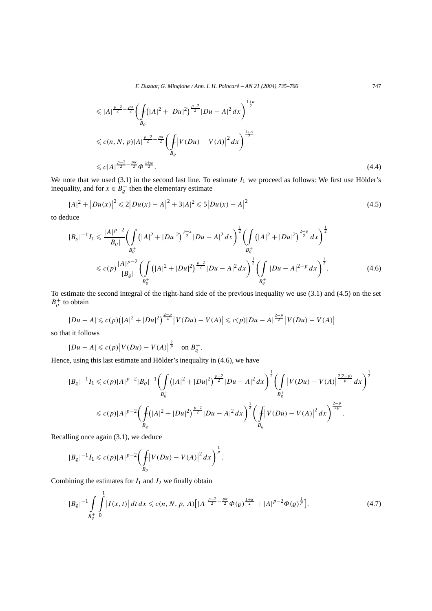*F. Duzaar, G. Mingione / Ann. I. H. Poincaré – AN 21 (2004) 735–766* 747

$$
\leq |A|^{\frac{p-2}{2}-\frac{p\alpha}{2}} \left( \int_{B_{\varrho}} (|A|^2 + |Du|^2)^{\frac{p-2}{2}} |Du - A|^2 dx \right)^{\frac{1+\alpha}{2}}
$$
  

$$
\leq c(n, N, p)|A|^{\frac{p-2}{2}-\frac{p\alpha}{2}} \left( \int_{B_{\varrho}} |V(Du) - V(A)|^2 dx \right)^{\frac{1+\alpha}{2}}
$$
  

$$
\leq c|A|^{\frac{p-2}{2}-\frac{p\alpha}{2}} \Phi^{\frac{1+\alpha}{2}}.
$$
 (4.4)

We note that we used  $(3.1)$  in the second last line. To estimate  $I_1$  we proceed as follows: We first use Hölder's inequality, and for  $x \in B_{\varrho}^+$  then the elementary estimate

$$
|A|^2 + |Du(x)|^2 \leq 2|Du(x) - A|^2 + 3|A|^2 \leq 5|Du(x) - A|^2
$$
\n(4.5)

to deduce

$$
|B_{\varrho}|^{-1}I_{1} \leq \frac{|A|^{p-2}}{|B_{\varrho}|} \left(\int_{B_{\varrho}^{+}} (|A|^{2} + |Du|^{2})^{\frac{p-2}{2}} |Du - A|^{2} dx\right)^{\frac{1}{2}} \left(\int_{B_{\varrho}^{+}} (|A|^{2} + |Du|^{2})^{\frac{2-p}{2}} dx\right)^{\frac{1}{2}} \leq c(p) \frac{|A|^{p-2}}{|B_{\varrho}|} \left(\int_{B_{\varrho}^{+}} (|A|^{2} + |Du|^{2})^{\frac{p-2}{2}} |Du - A|^{2} dx\right)^{\frac{1}{2}} \left(\int_{B_{\varrho}^{+}} |Du - A|^{2-p} dx\right)^{\frac{1}{2}}.
$$
\n(4.6)

To estimate the second integral of the right-hand side of the previous inequality we use (3.1) and (4.5) on the set  $B_{\varrho}^+$  to obtain

$$
|Du-A| \leqslant c(p)\big(|A|^2+|Du|^2\big)^{\frac{2-p}{4}}\big|V(Du)-V(A)\big| \leqslant c(p)|Du-A|^{\frac{2-p}{2}}\big|V(Du)-V(A)\big|
$$

so that it follows

$$
|Du-A|\leqslant c(p)\left|V(Du)-V(A)\right|^{\frac{2}{p}} \quad \text{on } B_{\varrho}^+.
$$

Hence, using this last estimate and Hölder's inequality in (4.6), we have

$$
|B_{\varrho}|^{-1}I_{1} \leqslant c(p)|A|^{p-2}|B_{\varrho}|^{-1} \left(\int\limits_{B_{\varrho}^{+}} (|A|^{2} + |Du|^{2})^{\frac{p-2}{2}} |Du - A|^{2} dx\right)^{\frac{1}{2}} \left(\int\limits_{B_{\varrho}^{+}} |V(Du) - V(A)|^{\frac{2(2-p)}{p}} dx\right)^{\frac{1}{2}}
$$
  

$$
\leqslant c(p)|A|^{p-2} \left(\int\limits_{B_{\varrho}} (|A|^{2} + |Du|^{2})^{\frac{p-2}{2}} |Du - A|^{2} dx\right)^{\frac{1}{2}} \left(\int\limits_{B_{\varrho}} |V(Du) - V(A)|^{2} dx\right)^{\frac{2-p}{2p}}.
$$

Recalling once again (3.1), we deduce

$$
|B_{\varrho}|^{-1}I_{1} \leqslant c(p)|A|^{p-2}\bigg(\int_{B_{\varrho}}\big|V(Du)-V(A)\big|^{2}dx\bigg)^{\frac{1}{p}}.
$$

Combining the estimates for  $I_1$  and  $I_2$  we finally obtain

$$
|B_{\varrho}|^{-1} \int\limits_{B_{\varrho}^{+}}^1 \int\limits_{0}^{1} |I(x,t)| dt dx \leqslant c(n, N, p, \Lambda) \Big[ |A|^{\frac{p-2}{2} - \frac{p\alpha}{2}} \Phi(\varrho)^{\frac{1+\alpha}{2}} + |A|^{p-2} \Phi(\varrho)^{\frac{1}{p}} \Big]. \tag{4.7}
$$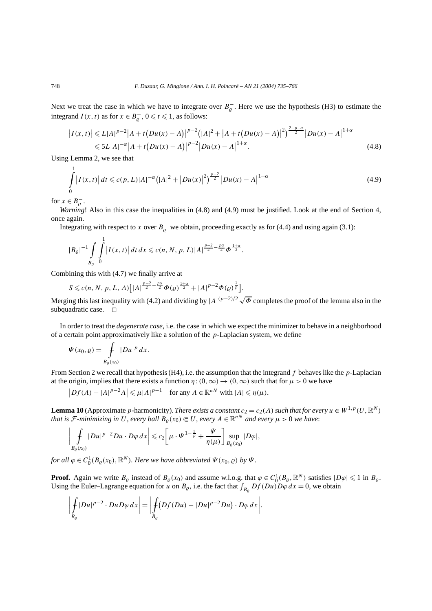Next we treat the case in which we have to integrate over  $B_{\rho}^-$ . Here we use the hypothesis (H3) to estimate the integrand *I*(*x*, *t*) as for  $x \in B_{\varrho}^-$ ,  $0 \le t \le 1$ , as follows:

$$
\left| I(x,t) \right| \leqslant L|A|^{p-2}|A+t\left(Du(x)-A\right)|^{p-2}\left(|A|^2+|A+t\left(Du(x)-A\right)|^2\right)^{\frac{2-p-\alpha}{2}}\left|Du(x)-A\right|^{1+\alpha}
$$
  

$$
\leqslant 5L|A|^{-\alpha}|A+t\left(Du(x)-A\right)|^{p-2}\left|Du(x)-A\right|^{1+\alpha}.
$$
\n(4.8)

Using Lemma 2, we see that

$$
\int_{0}^{1} |I(x,t)| dt \leqslant c(p, L)|A|^{-\alpha} (|A|^2 + |Du(x)|^2)^{\frac{p-2}{2}} |Du(x) - A|^{1+\alpha}
$$
\n(4.9)

for  $x \in B_{\varrho}^-$ .

*Warning*! Also in this case the inequalities in (4.8) and (4.9) must be justified. Look at the end of Section 4, once again.

Integrating with respect to *x* over  $B_{\rho}^-$  we obtain, proceeding exactly as for (4.4) and using again (3.1):

$$
|B_{\varrho}|^{-1} \int\limits_{B_{\varrho}^-} \int\limits_0^1 |I(x,t)| \, dt \, dx \leqslant c(n, N, p, L) |A|^{\frac{p-2}{2} - \frac{p\alpha}{2}} \Phi^{\frac{1+\alpha}{2}}.
$$

Combining this with (4.7) we finally arrive at

$$
S \leq c(n, N, p, L, \Lambda) \Big[ |A|^{\frac{p-2}{2} - \frac{pq}{2}} \Phi(q)^{\frac{1+\alpha}{2}} + |A|^{p-2} \Phi(q)^{\frac{1}{p}} \Big].
$$

Merging this last inequality with (4.2) and dividing by  $|A|^{(p-2)/2} \sqrt{\Phi}$  completes the proof of the lemma also in the subquadratic case.  $\square$ 

In order to treat the *degenerate case*, i.e. the case in which we expect the minimizer to behave in a neighborhood of a certain point approximatively like a solution of the *p*-Laplacian system, we define

$$
\Psi(x_0, \varrho) = \int\limits_{B_{\varrho}(x_0)} |Du|^p \, dx.
$$

From Section 2 we recall that hypothesis (H4), i.e. the assumption that the integrand *f* behaves like the *p*-Laplacian at the origin, implies that there exists a function  $\eta$  :  $(0, \infty) \rightarrow (0, \infty)$  such that for  $\mu > 0$  we have

 $|Df(A) - |A|^{p-2}A| \le \mu |A|^{p-1}$  for any  $A \in \mathbb{R}^{nN}$  with  $|A| \le \eta(\mu)$ .

**Lemma 10** (Approximate *p*-harmonicity). *There exists a constant*  $c_2 = c_2(\Lambda)$  *such that for every*  $u \in W^{1,p}(U,\mathbb{R}^N)$ *that is*  $\mathcal{F}$ -minimizing in U, every ball  $B_{\varrho}(x_0) \in U$ , every  $A \in \mathbb{R}^{nN}$  and every  $\mu > 0$  we have:

$$
\left|\int\limits_{B_{\varrho}(x_0)}|Du|^{p-2}Du\cdot D\varphi\,dx\right|\leqslant c_2\bigg[\mu\cdot\Psi^{1-\frac{1}{p}}+\frac{\Psi}{\eta(\mu)}\bigg]\sup\limits_{B_{\varrho}(x_0)}|D\varphi|,
$$

*for all*  $\varphi \in C_0^1(B_\varrho(x_0), \mathbb{R}^N)$ *. Here we have abbreviated*  $\Psi(x_0, \varrho)$  *by*  $\Psi$ *.* 

**Proof.** Again we write  $B_{\varrho}$  instead of  $B_{\varrho}(x_0)$  and assume w.l.o.g. that  $\varphi \in C_0^1(B_{\varrho}, \mathbb{R}^N)$  satisfies  $|D\varphi| \leq 1$  in  $B_{\varrho}$ . Using the Euler–Lagrange equation for *u* on  $B_{\varrho}$ , i.e. the fact that  $\int_{B_{\varrho}} Df(Du)D\varphi dx = 0$ , we obtain

$$
\left|\int\limits_{B_{\varrho}}|Du|^{p-2}\cdot Du D\varphi\,dx\right|=\left|\int\limits_{B_{\varrho}}(Df(Du)-|Du|^{p-2}Du)\cdot D\varphi\,dx\right|.
$$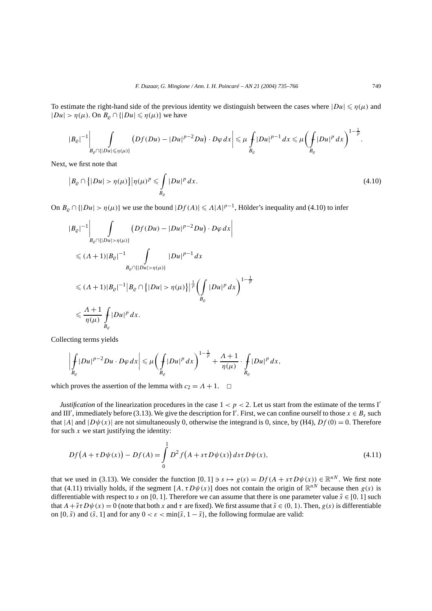To estimate the right-hand side of the previous identity we distinguish between the cases where  $|Du| \le \eta(\mu)$  and  $|Du| > \eta(\mu)$ . On  $B_\rho \cap \{|Du| \leq \eta(\mu)\}$  we have

$$
|B_{\varrho}|^{-1}\left|\int\limits_{B_{\varrho}\cap\{|Du|\leqslant\eta(\mu)\}}\left(Df(Du)-|Du|^{p-2}Du\right)\cdot D\varphi\,dx\right|\leqslant\mu\int\limits_{B_{\varrho}}|Du|^{p-1}dx\leqslant\mu\left(\int\limits_{B_{\varrho}}|Du|^{p}dx\right)^{1-\frac{1}{p}}.
$$

Next, we first note that

$$
\left|B_{\varrho} \cap \left\{|Du| > \eta(\mu)\right\}\right|\eta(\mu)^p \leqslant \int\limits_{B_{\varrho}} |Du|^p \, dx. \tag{4.10}
$$

On  $B_{\varrho} \cap \{|Du| > \eta(\mu)\}\$  we use the bound  $|Df(A)| \leq \Lambda |A|^{p-1}$ , Hölder's inequality and (4.10) to infer

$$
|B_{\varrho}|^{-1} \Bigg| \int_{B_{\varrho} \cap \{|Du| > \eta(\mu)\}} (Df(Du) - |Du|^{p-2}Du) \cdot D\varphi \, dx \Bigg|
$$
  

$$
\leq (A+1)|B_{\varrho}|^{-1} \int_{B_{\varrho} \cap \{|Du| > \eta(\mu)\}} |Du|^{p-1} \, dx
$$
  

$$
\leq (A+1)|B_{\varrho}|^{-1} |B_{\varrho} \cap \{|Du| > \eta(\mu)\}|^{\frac{1}{p}} \Bigg(\int_{B_{\varrho}} |Du|^{p} \, dx\Bigg)^{1-\frac{1}{p}}
$$
  

$$
\leq \frac{A+1}{\eta(\mu)} \int_{B_{\varrho}} |Du|^{p} \, dx.
$$

Collecting terms yields

$$
\left|\int\limits_{B_{\varrho}}|Du|^{p-2}Du\cdot D\varphi\,dx\right|\leqslant\mu\bigg(\int\limits_{B_{\varrho}}|Du|^{p}\,dx\bigg)^{1-\frac{1}{p}}+\frac{\Lambda+1}{\eta(\mu)}\cdot\int\limits_{B_{\varrho}}|Du|^{p}\,dx,
$$

which proves the assertion of the lemma with  $c_2 = A + 1$ .  $\Box$ 

*Justification* of the linearization procedures in the case  $1 < p < 2$ . Let us start from the estimate of the terms I' and III', immediately before (3.13). We give the description for I'. First, we can confine ourself to those  $x \in B_s$  such that |*A*| and  $|D\psi(x)|$  are not simultaneously 0, otherwise the integrand is 0, since, by (H4),  $Df(0) = 0$ . Therefore for such  $x$  we start justifying the identity:

$$
Df(A + \tau D\psi(x)) - Df(A) = \int_{0}^{1} D^{2} f(A + s\tau D\psi(x)) ds \tau D\psi(x),
$$
\n(4.11)

that we used in (3.13). We consider the function  $[0, 1] \ni s \mapsto g(s) = Df(A + s\tau D\psi(x)) \in \mathbb{R}^{nN}$ . We first note that (4.11) trivially holds, if the segment  $[A, \tau D\psi(x)]$  does not contain the origin of  $\mathbb{R}^{nN}$  because then  $g(s)$  is differentiable with respect to *s* on [0, 1]. Therefore we can assume that there is one parameter value  $\tilde{s} \in [0, 1]$  such that  $A + \tilde{s} \tau D\psi(x) = 0$  (note that both x and  $\tau$  are fixed). We first assume that  $\tilde{s} \in (0, 1)$ . Then,  $g(s)$  is differentiable on  $[0, \tilde{s})$  and  $(\tilde{s}, 1]$  and for any  $0 < \varepsilon < \min{\{\tilde{s}, 1 - \tilde{s}\}}$ , the following formulae are valid: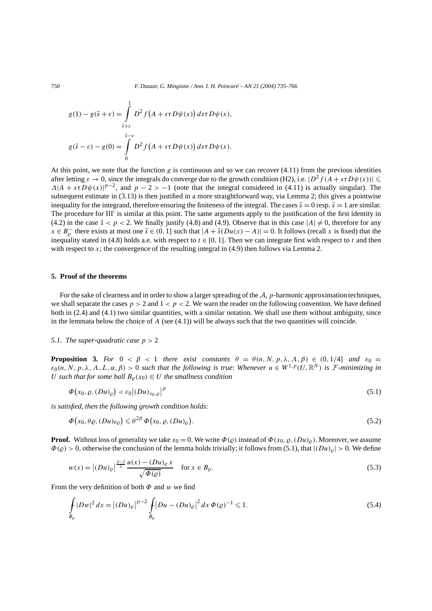$$
g(1) - g(\tilde{s} + \varepsilon) = \int_{\tilde{s}+\varepsilon}^{1} D^2 f(A + s\tau D\psi(x)) ds\tau D\psi(x),
$$
  

$$
g(\tilde{s} - \varepsilon) - g(0) = \int_{0}^{\tilde{s}-\varepsilon} D^2 f(A + s\tau D\psi(x)) ds\tau D\psi(x).
$$

At this point, we note that the function *g* is continuous and so we can recover (4.11) from the previous identities after letting  $\varepsilon \to 0$ , since the integrals do converge due to the growth condition (H2), i.e.  $|D^2 f(A + s\tau D\psi(x))| \le$  $A|A + s\tau D\psi(x)|^{p-2}$ , and  $p-2 > -1$  (note that the integral considered in (4.11) is actually singular). The subsequent estimate in (3.13) is then justified in a more straightforward way, via Lemma 2; this gives a pointwise inequality for the integrand, therefore ensuring the finiteness of the integral. The cases  $\tilde{s} = 0$  resp.  $\tilde{s} = 1$  are similar. The procedure for III' is similar at this point. The same arguments apply to the justification of the first identity in (4.2) in the case  $1 < p < 2$ . We finally justify (4.8) and (4.9). Observe that in this case  $|A| \neq 0$ , therefore for any *x* ∈ *B*<sub> $\varrho$ </sub><sup> $\varrho$ </sup> there exists at most one  $\tilde{s}$  ∈ (0, 1] such that  $|A + \tilde{s}(Du(x) - A)| = 0$ . It follows (recall *x* is fixed) that the inequality stated in (4.8) holds a.e. with respect to  $t \in [0, 1]$ . Then we can integrate first with respect to  $t$  and then with respect to *x*; the convergence of the resulting integral in (4.9) then follows via Lemma 2.

#### **5. Proof of the theorems**

For the sake of clearness and in order to show a larger spreading of the A, *p*-harmonic approximation techniques, we shall separate the cases  $p > 2$  and  $1 < p < 2$ . We warn the reader on the following convention. We have defined both in (2.4) and (4.1) two similar quantities, with a similar notation. We shall use them without ambiguity, since in the lemmata below the choice of  $A$  (see (4.1)) will be always such that the two quantities will coincide.

### *5.1. The super-quadratic case*  $p > 2$

**Proposition 3.** *For*  $0 < \beta < 1$  *there exist constants*  $\theta = \theta(n, N, p, \lambda, \Lambda, \beta) \in (0, 1/4]$  *and*  $\varepsilon_0 =$  $\varepsilon_0(n, N, p, \lambda, \Lambda, L, \alpha, \beta) > 0$  *such that the following is true: Whenever*  $u \in W^{1,p}(U, \mathbb{R}^N)$  *is F-minimizing in U* such that for some ball  $B_0(x_0) \in U$  the smallness condition

$$
\Phi(x_0, \varrho, (Du)_{\varrho}) < \varepsilon_0 \left| (Du)_{x_0, \varrho} \right|^p \tag{5.1}
$$

*is satisfied, then the following growth condition holds*:

$$
\Phi(x_0, \theta \varrho, (Du)_{\theta \varrho}) \leq \theta^{2\beta} \Phi(x_0, \varrho, (Du)_{\varrho}).
$$
\n(5.2)

**Proof.** Without loss of generality we take  $x_0 = 0$ . We write  $\Phi(\varrho)$  instead of  $\Phi(x_0, \varrho, (Du)_{\varrho})$ . Moreover, we assume  $\Phi(\rho) > 0$ , otherwise the conclusion of the lemma holds trivially; it follows from (5.1), that  $|_{(Du)_\rho}| > 0$ . We define

$$
w(x) = |(Du)_{\varrho}|^{\frac{p-2}{2}} \frac{u(x) - (Du)_{\varrho} x}{\sqrt{\varPhi(\varrho)}} \quad \text{for } x \in B_{\varrho}.
$$
 (5.3)

From the very definition of both *Φ* and *w* we find

$$
\int_{B_{\varrho}} |Dw|^2 dx = |(Du)_{\varrho}|^{p-2} \int_{B_{\varrho}} |Du - (Du)_{\varrho}|^2 dx \, \Phi(\varrho)^{-1} \leq 1.
$$
\n(5.4)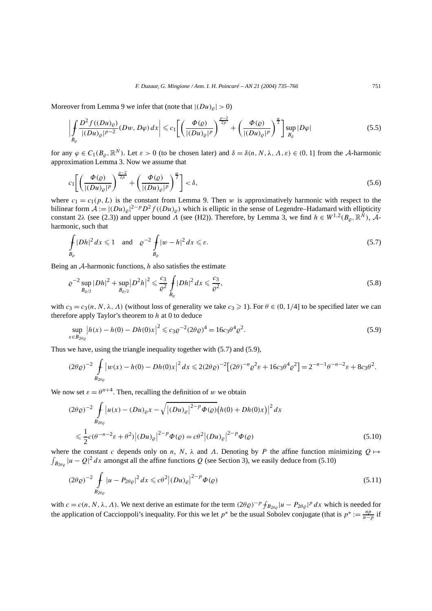Moreover from Lemma 9 we infer that (note that  $|(Du)_{\rho}| > 0$ )

$$
\left| \int_{B_{\varrho}} \frac{D^2 f((Du)_{\varrho})}{|(Du)_{\varrho}|^{p-2}} (Dw, D\varphi) \, dx \right| \leq c_1 \left[ \left( \frac{\Phi(\varrho)}{|(Du)_{\varrho}|^p} \right)^{\frac{p-2}{2p}} + \left( \frac{\Phi(\varrho)}{|(Du)_{\varrho}|^p} \right)^{\frac{\alpha}{2}} \right] \sup_{B_{\varrho}} |D\varphi| \tag{5.5}
$$

for any  $\varphi \in C_1(B_\rho, \mathbb{R}^N)$ . Let  $\varepsilon > 0$  (to be chosen later) and  $\delta = \delta(n, N, \lambda, \Lambda, \varepsilon) \in (0, 1]$  from the A-harmonic approximation Lemma 3. Now we assume that

$$
c_1 \left[ \left( \frac{\Phi(\varrho)}{|(Du)_{\varrho}|^p} \right)^{\frac{p-2}{2p}} + \left( \frac{\Phi(\varrho)}{|(Du)_{\varrho}|^p} \right)^{\frac{\alpha}{2}} \right] < \delta,
$$
\n
$$
(5.6)
$$

where  $c_1 = c_1(p, L)$  is the constant from Lemma 9. Then *w* is approximatively harmonic with respect to the bilinear form  $A := |(Du)_{\rho}|^{2-p} D^2 f((Du)_{\rho})$  which is elliptic in the sense of Legendre–Hadamard with ellipticity constant 2 $\lambda$  (see (2.3)) and upper bound  $\overline{\Lambda}$  (see (H2)). Therefore, by Lemma 3, we find  $h \in W^{1,2}(B_{\varrho}, \mathbb{R}^N)$ , Aharmonic, such that

$$
\int_{B_{\varrho}} |Dh|^2 dx \leq 1 \quad \text{and} \quad \varrho^{-2} \int_{B_{\varrho}} |w - h|^2 dx \leq \varepsilon. \tag{5.7}
$$

Being an A-harmonic functions, *h* also satisfies the estimate

$$
\varrho^{-2} \sup_{B_{\varrho/2}} |Dh|^2 + \sup_{B_{\varrho/2}} |D^2 h|^2 \leq \frac{c_3}{\varrho^2} \int_{B_{\varrho}} |Dh|^2 dx \leq \frac{c_3}{\varrho^2},\tag{5.8}
$$

with  $c_3 = c_3(n, N, \lambda, \Lambda)$  (without loss of generality we take  $c_3 \ge 1$ ). For  $\theta \in (0, 1/4]$  to be specified later we can therefore apply Taylor's theorem to *h* at 0 to deduce

$$
\sup_{x \in B_{2\theta_Q}} |h(x) - h(0) - Dh(0)x|^2 \leq c_3 \varrho^{-2} (2\theta \varrho)^4 = 16c_3 \theta^4 \varrho^2.
$$
\n(5.9)

Thus we have, using the triangle inequality together with (5.7) and (5.9),

$$
(2\theta \varrho)^{-2} \int\limits_{B_{2\theta \varrho}} |w(x) - h(0) - Dh(0)x|^2 dx \leq 2(2\theta \varrho)^{-2} \left[ (2\theta)^{-n} \varrho^2 \varepsilon + 16c_3 \theta^4 \varrho^2 \right] = 2^{-n-1} \theta^{-n-2} \varepsilon + 8c_3 \theta^2.
$$

We now set  $\varepsilon = \theta^{n+4}$ . Then, recalling the definition of *w* we obtain

$$
(2\theta \varrho)^{-2} \int_{B_{2\theta\varrho}} |u(x) - (Du)_{\varrho}x - \sqrt{|(Du)_{\varrho}|^{2-p} \Phi(\varrho)} (h(0) + Dh(0)x)|^2 dx
$$
  

$$
\leq \frac{1}{2}c(\theta^{-n-2}\varepsilon + \theta^2) |(Du)_{\varrho}|^{2-p} \Phi(\varrho) = c\theta^2 |(Du)_{\varrho}|^{2-p} \Phi(\varrho)
$$
(5.10)

 $\int_{B_{2\theta\varrho}} |u - Q|^2 dx$  amongst all the affine functions *Q* (see Section 3), we easily deduce from (5.10) where the constant *c* depends only on *n*, *N*,  $\lambda$  and *Λ*. Denoting by *P* the affine function minimizing  $Q \mapsto$ 

$$
(2\theta \varrho)^{-2} \int\limits_{B_{2\theta\varrho}} |u - P_{2\theta\varrho}|^2 dx \leq c\theta^2 |(Du)_{\varrho}|^{2-p} \Phi(\varrho)
$$
\n
$$
(5.11)
$$

with  $c = c(n, N, \lambda, \Lambda)$ . We next derive an estimate for the term  $(2\theta \rho)^{-p} f_{B_{2\theta\rho}} |u - P_{2\theta\rho}|^p dx$  which is needed for the application of Caccioppoli's inequality. For this we let  $p^*$  be the usual Sobolev conjugate (that is  $p^* := \frac{np}{n-p}$  if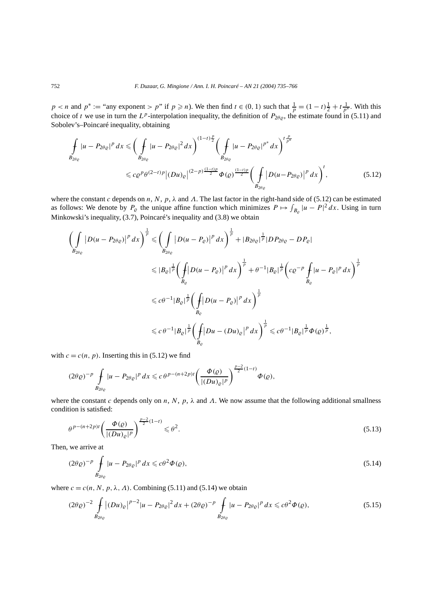$p < n$  and  $p^* :=$  "any exponent > p" if  $p \ge n$ ). We then find  $t \in (0, 1)$  such that  $\frac{1}{p} = (1 - t)\frac{1}{2} + t\frac{1}{p^*}$ . With this choice of *t* we use in turn the  $L^p$ -interpolation inequality, the definition of  $P_{2\theta\varrho}$ , the estimate found in (5.11) and Sobolev's–Poincaré inequality, obtaining

$$
\int_{B_{2\theta_{\varrho}}} |u - P_{2\theta_{\varrho}}|^p \, dx \leqslant \bigg(\int_{B_{2\theta_{\varrho}}} |u - P_{2\theta_{\varrho}}|^2 \, dx\bigg)^{(1-t)\frac{p}{2}} \bigg(\int_{B_{2\theta_{\varrho}}} |u - P_{2\theta_{\varrho}}|^{p^*} \, dx\bigg)^{t\frac{p}{p^*}}\n\leqslant c\varrho^p \theta^{(2-t)p} \big|(Du)_{\varrho}\big|^{(2-p)\frac{(1-t)p}{2}} \Phi(\varrho)^{\frac{(1-t)p}{2}} \bigg(\int_{B_{2\theta_{\varrho}}} |D(u - P_{2\theta_{\varrho}})|^p \, dx\bigg)^t,\n\tag{5.12}
$$

where the constant *c* depends on *n*, *N*, *p*,  $\lambda$  and  $\Lambda$ . The last factor in the right-hand side of (5.12) can be estimated as follows: We denote by  $P_{\varrho}$  the unique affine function which minimizes  $P \mapsto \int_{B_{\varrho}} |u - P|^2 dx$ . Using in turn Minkowski's inequality, (3.7), Poincaré's inequality and (3.8) we obtain

$$
\left(\int_{B_{2\theta_{\varrho}}} |D(u - P_{2\theta_{\varrho}})|^{p} dx\right)^{\frac{1}{p}} \leq \left(\int_{B_{2\theta_{\varrho}}} |D(u - P_{\varrho})|^{p} dx\right)^{\frac{1}{p}} + |B_{2\theta_{\varrho}}|^{\frac{1}{p}} |DP_{2\theta_{\varrho}} - DP_{\varrho}|
$$
  

$$
\leq |B_{\varrho}|^{\frac{1}{p}} \left(\int_{B_{\varrho}} |D(u - P_{\varrho})|^{p} dx\right)^{\frac{1}{p}} + \theta^{-1} |B_{\varrho}|^{\frac{1}{p}} \left(c\varrho^{-p} \int_{B_{\varrho}} |u - P_{\varrho}|^{p} dx\right)^{\frac{1}{p}}
$$
  

$$
\leq c\theta^{-1} |B_{\varrho}|^{\frac{1}{p}} \left(\int_{B_{\varrho}} |D(u - P_{\varrho})|^{p} dx\right)^{\frac{1}{p}}
$$
  

$$
\leq c\theta^{-1} |B_{\varrho}|^{\frac{1}{p}} \left(\int_{B_{\varrho}} |Du - (Du)_{\varrho}|^{p} dx\right)^{\frac{1}{p}} \leq c\theta^{-1} |B_{\varrho}|^{\frac{1}{p}} \Phi(\varrho)^{\frac{1}{p}},
$$

with  $c = c(n, p)$ . Inserting this in (5.12) we find

$$
(2\theta \varrho)^{-p} \int\limits_{B_{2\theta \varrho}} |u - P_{2\theta \varrho}|^p dx \leqslant c \theta^{p-(n+2p)t} \left( \frac{\Phi(\varrho)}{|(Du)_{\varrho}|^p} \right)^{\frac{p-2}{2}(1-t)} \Phi(\varrho),
$$

where the constant *c* depends only on *n*, *N*, *p*, *λ* and *Λ*. We now assume that the following additional smallness condition is satisfied:

$$
\theta^{p-(n+2p)t} \left( \frac{\Phi(\varrho)}{|(Du)_{\varrho}|^p} \right)^{\frac{p-2}{2}(1-t)} \leq \theta^2. \tag{5.13}
$$

Then, we arrive at

$$
(2\theta \varrho)^{-p} \int\limits_{B_{2\theta\varrho}} |u - P_{2\theta\varrho}|^p dx \leq c\theta^2 \Phi(\varrho),\tag{5.14}
$$

where  $c = c(n, N, p, \lambda, \Lambda)$ . Combining (5.11) and (5.14) we obtain

$$
(2\theta \varrho)^{-2} \int_{B_{2\theta\varrho}} |(Du)_{\varrho}|^{p-2} |u - P_{2\theta\varrho}|^2 dx + (2\theta \varrho)^{-p} \int_{B_{2\theta\varrho}} |u - P_{2\theta\varrho}|^p dx \leq c\theta^2 \Phi(\varrho),
$$
\n(5.15)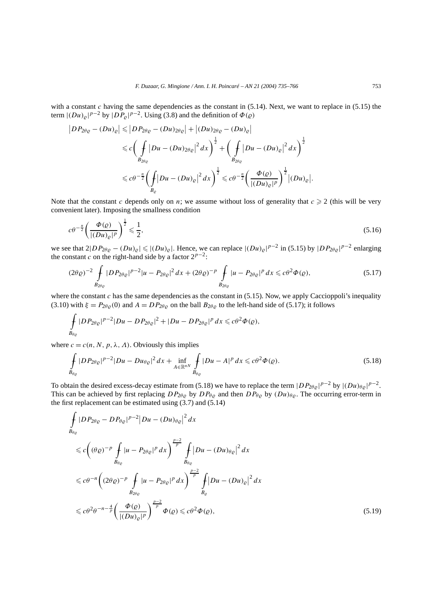with a constant  $c$  having the same dependencies as the constant in  $(5.14)$ . Next, we want to replace in  $(5.15)$  the term  $|(Du)_{\varrho}|^{p-2}$  by  $|DP_{\varrho}|^{p-2}$ . Using (3.8) and the definition of  $\Phi(\varrho)$ 

$$
\begin{aligned}\n\left|D P_{2\theta\varrho} - (Du)_{\varrho}\right| &\leq \left|D P_{2\theta\varrho} - (Du)_{2\theta\varrho}\right| + \left|(Du)_{2\theta\varrho} - (Du)_{\varrho}\right| \\
&\leq c \bigg(\int_{B_{2\theta\varrho}} |Du - (Du)_{2\theta\varrho}|^2 \, dx\bigg)^{\frac{1}{2}} + \bigg(\int_{B_{2\theta\varrho}} |Du - (Du)_{\varrho}|^2 \, dx\bigg)^{\frac{1}{2}} \\
&\leq c \theta^{-\frac{n}{2}} \bigg(\int_{B_{\varrho}} |Du - (Du)_{\varrho}|^2 \, dx\bigg)^{\frac{1}{2}} \leq c \theta^{-\frac{n}{2}} \bigg(\frac{\Phi(\varrho)}{|(Du)_{\varrho}|^p}\bigg)^{\frac{1}{2}} |(Du)_{\varrho}|.\n\end{aligned}
$$

Note that the constant *c* depends only on *n*; we assume without loss of generality that  $c \ge 2$  (this will be very convenient later). Imposing the smallness condition

$$
c\theta^{-\frac{n}{2}}\left(\frac{\Phi(\varrho)}{|(Du)_{\varrho}|^p}\right)^{\frac{1}{2}} \leqslant \frac{1}{2},\tag{5.16}
$$

we see that  $2|DP_{2\theta\varrho} - (Du)_{\varrho}| \leq (|Du)_{\varrho}|$ . Hence, we can replace  $|(Du)_{\varrho}|^{p-2}$  in (5.15) by  $|DP_{2\theta\varrho}|^{p-2}$  enlarging the constant *c* on the right-hand side by a factor  $2^{p-2}$ :

$$
(2\theta \varrho)^{-2} \int_{B_{2\theta\varrho}} |D P_{2\theta\varrho}|^{p-2} |u - P_{2\theta\varrho}|^2 dx + (2\theta \varrho)^{-p} \int_{B_{2\theta\varrho}} |u - P_{2\theta\varrho}|^p dx \leq c\theta^2 \Phi(\varrho),
$$
(5.17)

where the constant  $c$  has the same dependencies as the constant in (5.15). Now, we apply Caccioppoli's inequality (3.10) with  $\xi = P_{2\theta\rho}(0)$  and  $A = DP_{2\theta\rho}$  on the ball  $B_{2\theta\rho}$  to the left-hand side of (5.17); it follows

$$
\int_{B_{\theta_{\varrho}}} |DP_{2\theta_{\varrho}}|^{p-2} |Du - DP_{2\theta_{\varrho}}|^{2} + |Du - DP_{2\theta_{\varrho}}|^{p} dx \leq c\theta^{2} \Phi(\varrho),
$$

where  $c = c(n, N, p, \lambda, \Lambda)$ . Obviously this implies

$$
\int_{B_{\theta_{\varrho}}} |D P_{2\theta_{\varrho}}|^{p-2} |Du - Du_{\theta_{\varrho}}|^2 dx + \inf_{A \in \mathbb{R}^{nN}} \int_{B_{\theta_{\varrho}}} |Du - A|^p dx \leq c\theta^2 \Phi(\varrho).
$$
\n(5.18)

To obtain the desired excess-decay estimate from (5.18) we have to replace the term  $|DP_{2\theta\varrho}|^{p-2}$  by  $|(Du)_{\theta\varrho}|^{p-2}$ . This can be achieved by first replacing  $DP_{2\theta\varrho}$  by  $DP_{\theta\varrho}$  and then  $DP_{\theta\varrho}$  by  $(Du)_{\theta\varrho}$ . The occurring error-term in the first replacement can be estimated using (3.7) and (5.14)

$$
\int_{B_{\theta_{\varrho}}} |DP_{2\theta_{\varrho}} - DP_{\theta_{\varrho}}|^{p-2} |Du - (Du)_{\theta_{\varrho}}|^2 dx
$$
\n
$$
\leq c \Big( (\theta \varrho)^{-p} \int_{B_{\theta_{\varrho}}} |u - P_{2\theta_{\varrho}}|^p dx \Big)^{\frac{p-2}{p}} \int_{B_{\theta_{\varrho}}} |Du - (Du)_{\theta_{\varrho}}|^2 dx
$$
\n
$$
\leq c \theta^{-n} \Big( (2\theta \varrho)^{-p} \int_{B_{2\theta_{\varrho}}} |u - P_{2\theta_{\varrho}}|^p dx \Big)^{\frac{p-2}{p}} \int_{B_{\varrho}} |Du - (Du)_{\varrho}|^2 dx
$$
\n
$$
\leq c \theta^2 \theta^{-n - \frac{4}{p}} \Big( \frac{\Phi(\varrho)}{|(Du)_{\varrho}|^p} \Big)^{\frac{p-2}{p}} \Phi(\varrho) \leq c \theta^2 \Phi(\varrho), \tag{5.19}
$$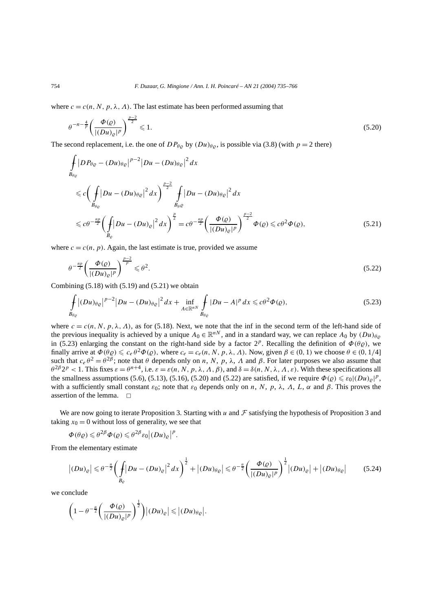where  $c = c(n, N, p, \lambda, \Lambda)$ . The last estimate has been performed assuming that

$$
\theta^{-n-\frac{4}{p}} \left( \frac{\Phi(\varrho)}{|(Du)_{\varrho}|^p} \right)^{\frac{p-2}{2}} \leq 1. \tag{5.20}
$$

The second replacement, i.e. the one of  $DP_{\theta\rho}$  by  $(Du)_{\theta\rho}$ , is possible via (3.8) (with  $p = 2$  there)

$$
\int_{B_{\theta\varrho}} |DP_{\theta\varrho} - (Du)_{\theta\varrho}|^{p-2} |Du - (Du)_{\theta\varrho}|^2 dx
$$
\n
$$
\leq c \Big( \int_{B_{\theta\varrho}} |Du - (Du)_{\theta\varrho}|^2 dx \Big)^{\frac{p-2}{2}} \int_{B_{\theta\varrho}} |Du - (Du)_{\theta\varrho}|^2 dx
$$
\n
$$
\leq c\theta^{-\frac{np}{2}} \Big( \int_{B_{\varrho}} |Du - (Du)_{\varrho}|^2 dx \Big)^{\frac{p}{2}} = c\theta^{-\frac{np}{2}} \Big( \frac{\Phi(\varrho)}{|(Du)_{\varrho}|^p} \Big)^{\frac{p-2}{2}} \Phi(\varrho) \leq c\theta^2 \Phi(\varrho), \tag{5.21}
$$

where  $c = c(n, p)$ . Again, the last estimate is true, provided we assume

$$
\theta^{-\frac{np}{2}}\left(\frac{\Phi(\varrho)}{|(Du)_{\varrho}|^p}\right)^{\frac{p-2}{p}} \leqslant \theta^2. \tag{5.22}
$$

Combining  $(5.18)$  with  $(5.19)$  and  $(5.21)$  we obtain

$$
\int_{B_{\theta\varrho}} |(Du)_{\theta\varrho}|^{p-2} |Du - (Du)_{\theta\varrho}|^2 dx + \inf_{A \in \mathbb{R}^{nN}} \int_{B_{\theta\varrho}} |Du - A|^p dx \leq c\theta^2 \Phi(\varrho),
$$
\n(5.23)

where  $c = c(n, N, p, \lambda, \Lambda)$ , as for (5.18). Next, we note that the inf in the second term of the left-hand side of the previous inequality is achieved by a unique  $A_0 \in \mathbb{R}^{n}$ , and in a standard way, we can replace  $A_0$  by  $(Du)_{\theta \varrho}$ in (5.23) enlarging the constant on the right-hand side by a factor  $2^p$ . Recalling the definition of  $\Phi(\theta \varrho)$ , we finally arrive at  $\Phi(\theta \varrho) \leq c_e \theta^2 \Phi(\varrho)$ , where  $c_e = c_e(n, N, p, \lambda, \Lambda)$ . Now, given  $\beta \in (0, 1)$  we choose  $\theta \in (0, 1/4]$ such that  $c_e θ^2 = θ^{2β}$ ; note that *θ* depends only on *n*, *N*, *p*, *λ*, *Λ* and *β*. For later purposes we also assume that  $\theta^{2\beta} 2^p < 1$ . This fixes  $\varepsilon = \theta^{n+4}$ , i.e.  $\varepsilon = \varepsilon(n, N, p, \lambda, \Lambda, \beta)$ , and  $\delta = \delta(n, N, \lambda, \Lambda, \varepsilon)$ . With these specifications all the smallness assumptions (5.6), (5.13), (5.16), (5.20) and (5.22) are satisfied, if we require  $\Phi(\varrho) \leq \varepsilon_0 |(Du)_{\varrho}|^p$ , with a sufficiently small constant  $\varepsilon_0$ ; note that  $\varepsilon_0$  depends only on *n*, *N*, *p*,  $\lambda$ , *A*, *L*,  $\alpha$  and  $\beta$ . This proves the assertion of the lemma.  $\square$ 

We are now going to iterate Proposition 3. Starting with *u* and  $\mathcal F$  satisfying the hypothesis of Proposition 3 and taking  $x_0 = 0$  without loss of generality, we see that

$$
\Phi(\theta \varrho) \leqslant \theta^{2\beta} \Phi(\varrho) \leqslant \theta^{2\beta} \varepsilon_0 |(Du)_{\varrho}|^p.
$$

From the elementary estimate

$$
\left| (Du)_{\varrho} \right| \leqslant \theta^{-\frac{n}{2}} \bigg( \int_{B_{\varrho}} \left| Du - (Du)_{\varrho} \right|^2 dx \bigg)^{\frac{1}{2}} + \left| (Du)_{\theta\varrho} \right| \leqslant \theta^{-\frac{n}{2}} \bigg( \frac{\Phi(\varrho)}{\left| (Du)_{\varrho} \right|^p} \bigg)^{\frac{1}{2}} \left| (Du)_{\varrho} \right| + \left| (Du)_{\theta\varrho} \right| \tag{5.24}
$$

we conclude

$$
\left(1-\theta^{-\frac{n}{2}}\left(\frac{\Phi(\varrho)}{|(Du)_{\varrho}|^p}\right)^{\frac{1}{2}}\right)|(Du)_{\varrho}|\leqslant |(Du)_{\theta\varrho}|.
$$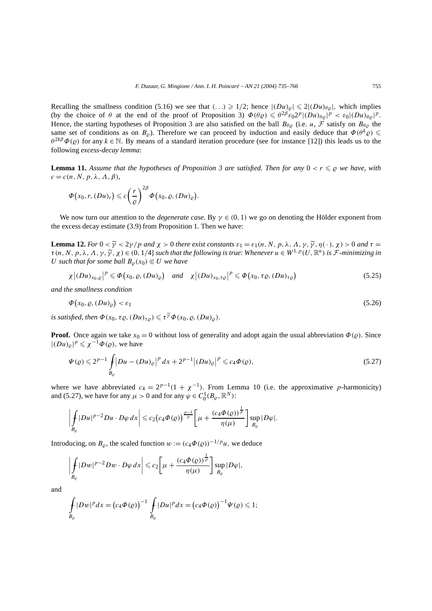Recalling the smallness condition (5.16) we see that  $( \ldots ) \geq 1/2$ ; hence  $|(Du)_{\varrho}| \leq 2|(Du)_{\theta\varrho}|$ , which implies (by the choice of  $\theta$  at the end of the proof of Proposition 3)  $\Phi(\theta \varrho) \leq \theta^{2\beta} \bar{\varepsilon}_0 2^p |(Du)_{\theta \varrho}|^p < \varepsilon_0 |(Du)_{\theta \varrho}|^p$ . Hence, the starting hypotheses of Proposition 3 are also satisfied on the ball  $B_{\theta\rho}$  (i.e. *u*, *F* satisfy on  $B_{\theta\rho}$  the same set of conditions as on  $B_{\rho}$ ). Therefore we can proceed by induction and easily deduce that  $\Phi(\theta^k \varrho)$  $\theta^{2k\beta}\Phi(\varrho)$  for any  $k \in \mathbb{N}$ . By means of a standard iteration procedure (see for instance [12]) this leads us to the following *excess-decay lemma*:

**Lemma 11.** Assume that the hypotheses of Proposition 3 are satisfied. Then for any  $0 < r \leq \varrho$  we have, with  $c = c(n, N, p, \lambda, \Lambda, \beta)$ 

$$
\Phi(x_0,r,(Du)_r)\leqslant c\bigg(\frac{r}{\varrho}\bigg)^{2\beta}\Phi(x_0,\varrho,(Du)_\varrho).
$$

We now turn our attention to the *degenerate case*. By  $\gamma \in (0, 1)$  we go on denoting the Hölder exponent from the excess decay estimate (3.9) from Proposition 1. Then we have:

**Lemma 12.** *For*  $0 < \tilde{\gamma} < 2\gamma/p$  *and*  $\chi > 0$  *there exist constants*  $\varepsilon_1 = \varepsilon_1(n, N, p, \lambda, \Lambda, \gamma, \tilde{\gamma}, \eta(\cdot), \chi) > 0$  *and*  $\tau =$  $\tau(n, N, p, \lambda, \Lambda, \gamma, \widetilde{\gamma}, \chi) \in (0, 1/4]$  *such that the following is true: Whenever*  $u \in W^{1,p}(U, \mathbb{R}^n)$  *is*  $\mathcal{F}$ *-minimizing in U* such that for some ball  $B_0(x_0) \in U$  we have

$$
\chi \left| (Du)_{x_0, \varrho} \right|^p \leq \Phi \left( x_0, \varrho, (Du)_{\varrho} \right) \quad \text{and} \quad \chi \left| (Du)_{x_0, \tau \varrho} \right|^p \leq \Phi \left( x_0, \tau \varrho, (Du)_{\tau \varrho} \right) \tag{5.25}
$$

*and the smallness condition*

$$
\Phi(x_0, \varrho, (Du)_\varrho) < \varepsilon_1 \tag{5.26}
$$

*is satisfied, then*  $\Phi(x_0, \tau \rho, (Du)_{\tau\rho}) \leq \tau^{\gamma} \Phi(x_0, \rho, (Du)_{\rho}).$ 

**Proof.** Once again we take  $x_0 = 0$  without loss of generality and adopt again the usual abbreviation  $\Phi(\varrho)$ . Since  $|(Du)_{\varrho}|^p \leq \chi^{-1} \Phi(\varrho)$ , we have

$$
\Psi(\varrho) \leq 2^{p-1} \int_{B_{\varrho}} |Du - (Du)_{\varrho}|^p dx + 2^{p-1} |(Du)_{\varrho}|^p \leq c_4 \Phi(\varrho), \tag{5.27}
$$

where we have abbreviated  $c_4 = 2^{p-1}(1 + \chi^{-1})$ . From Lemma 10 (i.e. the approximative *p*-harmonicity) and (5.27), we have for any  $\mu > 0$  and for any  $\varphi \in C_0^1(B_\varrho, \mathbb{R}^N)$ :

$$
\left|\int\limits_{B_{\varrho}}|Du|^{p-2}Du\cdot D\varphi\,dx\right|\leqslant c_2\big(c_4\Phi(\varrho)\big)^{\frac{p-1}{p}}\bigg[\mu+\frac{(c_4\Phi(\varrho))^{\frac{1}{p}}}{\eta(\mu)}\bigg]\sup_{B_{\varrho}}|D\varphi|.
$$

Introducing, on  $B_0$ , the scaled function  $w := (c_4 \Phi(Q))^{-1/p} u$ , we deduce

$$
\left|\int\limits_{B_{\varrho}}|Dw|^{p-2}Dw\cdot D\varphi\,dx\right|\leqslant c_2\bigg[\mu+\frac{(c_4\varPhi(\varrho))^\frac{1}{p}}{\eta(\mu)}\bigg]\sup_{B_{\varrho}}|D\varphi|,
$$

and

$$
\int_{B_{\varrho}} |Dw|^p dx = (c_4 \Phi(\varrho))^{-1} \int_{B_{\varrho}} |Du|^p dx = (c_4 \Phi(\varrho))^{-1} \Psi(\varrho) \leq 1;
$$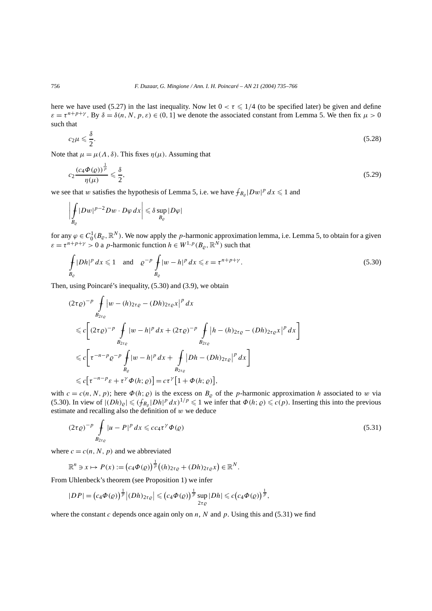here we have used (5.27) in the last inequality. Now let  $0 < \tau \leq 1/4$  (to be specified later) be given and define  $\varepsilon = \tau^{n+p+\gamma}$ . By  $\delta = \delta(n, N, p, \varepsilon) \in (0, 1]$  we denote the associated constant from Lemma 5. We then fix  $\mu > 0$ such that

$$
c_2\mu \leqslant \frac{\delta}{2}.\tag{5.28}
$$

Note that  $\mu = \mu(\Lambda, \delta)$ . This fixes  $\eta(\mu)$ . Assuming that

$$
c_2 \frac{(c_4 \Phi(\varrho))^{\frac{1}{p}}}{\eta(\mu)} \leq \frac{\delta}{2},\tag{5.29}
$$

we see that *w* satisfies the hypothesis of Lemma 5, i.e. we have  $f_{B_{\rho}}|Dw|^p dx \leq 1$  and

$$
\left|\int\limits_{B_{\varrho}} |Dw|^{p-2} Dw \cdot D\varphi \, dx\right| \leqslant \delta \sup_{B_{\varrho}} |D\varphi|
$$

for any  $\varphi \in C_0^1(B_\varrho,\mathbb{R}^N)$ . We now apply the *p*-harmonic approximation lemma, i.e. Lemma 5, to obtain for a given  $\varepsilon = \tau^{n+p+\gamma} > 0$  a *p*-harmonic function  $h \in W^{1,p}(B_{\rho}, \mathbb{R}^N)$  such that

$$
\int_{B_{\varrho}} |Dh|^p \, dx \leq 1 \quad \text{and} \quad \varrho^{-p} \int_{B_{\varrho}} |w - h|^p \, dx \leq \varepsilon = \tau^{n+p+\gamma}.
$$
\n
$$
(5.30)
$$

Then, using Poincaré's inequality, (5.30) and (3.9), we obtain

$$
(2\tau \varrho)^{-p} \int_{B_{2\tau \varrho}} |w - (h)_{2\tau \varrho} - (Dh)_{2\tau \varrho} x|^p dx
$$
  
\n
$$
\leq c \Big[ (2\tau \varrho)^{-p} \int_{B_{2\tau \varrho}} |w - h|^p dx + (2\tau \varrho)^{-p} \int_{B_{2\tau \varrho}} |h - (h)_{2\tau \varrho} - (Dh)_{2\tau \varrho} x|^p dx \Big]
$$
  
\n
$$
\leq c \Big[ \tau^{-n-p} \varrho^{-p} \int_{B_{\varrho}} |w - h|^p dx + \int_{B_{2\tau \varrho}} |Dh - (Dh)_{2\tau \varrho}|^p dx \Big]
$$
  
\n
$$
\leq c \Big[ \tau^{-n-p} \varepsilon + \tau^{\gamma} \Phi(h; \varrho) \Big] = c \tau^{\gamma} \Big[ 1 + \Phi(h; \varrho) \Big],
$$

with  $c = c(n, N, p)$ ; here  $\Phi(h; \rho)$  is the excess on  $B_{\rho}$  of the *p*-harmonic approximation *h* associated to *w* via (5.30). In view of  $|(Dh)_{\varrho}| \leq (f_{B_{\varrho}}|Dh|^{p} dx)^{1/p} \leq 1$  we infer that  $\Phi(h; \varrho) \leq c(p)$ . Inserting this into the previous estimate and recalling also the definition of *w* we deduce

$$
(2\tau\varrho)^{-p} \int\limits_{B_{2\tau\varrho}} |u - P|^p \, dx \leqslant c c_4 \tau^\gamma \Phi(\varrho) \tag{5.31}
$$

where  $c = c(n, N, p)$  and we abbreviated

$$
\mathbb{R}^n \ni x \mapsto P(x) := \left(c_4 \Phi(\varrho)\right)^{\frac{1}{p}} \left((h)_{2\tau\varrho} + (Dh)_{2\tau\varrho} x\right) \in \mathbb{R}^N.
$$

From Uhlenbeck's theorem (see Proposition 1) we infer

$$
|DP| = (c_4\Phi(Q))^{\frac{1}{p}}|(Dh)_{2\tau_Q}| \leq (c_4\Phi(Q))^{\frac{1}{p}} \sup_{2\tau_Q} |Dh| \leqslant c\big(c_4\Phi(Q)\big)^{\frac{1}{p}},
$$

where the constant *c* depends once again only on *n*, *N* and *p*. Using this and (5.31) we find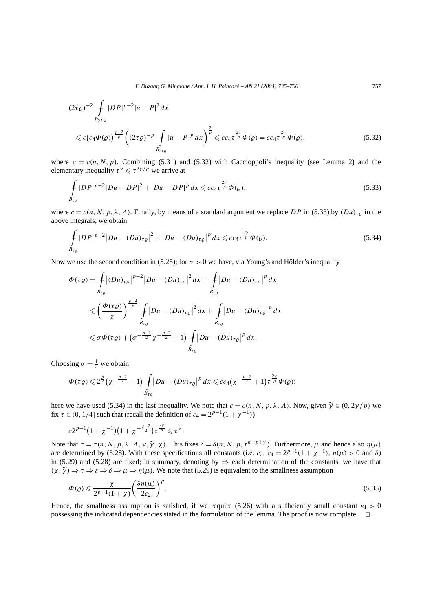*F. Duzaar, G. Mingione / Ann. I. H. Poincaré – AN 21 (2004) 735–766* 757

$$
(2\tau \varrho)^{-2} \int_{B_2 \tau \varrho} |DP|^{p-2} |u - P|^2 dx
$$
  
\$\leq c (c\_4 \Phi(\varrho)) \frac{p-2}{p} (2\tau \varrho)^{-p} \int\_{B\_2 \tau \varrho} |u - P|^p dx\$}^{\frac{2}{p}} \leq c\_4 \tau^{\frac{2\gamma}{p}} \Phi(\varrho) = c\_4 \tau^{\frac{2\gamma}{p}} \Phi(\varrho), \qquad (5.32)\$

where  $c = c(n, N, p)$ . Combining (5.31) and (5.32) with Caccioppoli's inequality (see Lemma 2) and the elementary inequality  $\tau^{\gamma} \leq \tau^{2\gamma/p}$  we arrive at

$$
\int_{B_{\tau_{\varrho}}} |DP|^{p-2} |Du - DP|^2 + |Du - DP|^p \, dx \leqslant c c_4 \tau^{\frac{2\gamma}{p}} \Phi(\varrho),\tag{5.33}
$$

where  $c = c(n, N, p, \lambda, \Lambda)$ . Finally, by means of a standard argument we replace *DP* in (5.33) by  $(Du)_{\tau\rho}$  in the above integrals; we obtain

$$
\int_{B_{\tau_{\varrho}}} |DP|^{p-2} |Du - (Du)_{\tau_{\varrho}}|^2 + |Du - (Du)_{\tau_{\varrho}}|^p dx \leqslant c c_4 \tau^{\frac{2\gamma}{p}} \Phi(\varrho).
$$
\n(5.34)

Now we use the second condition in (5.25); for  $\sigma > 0$  we have, via Young's and Hölder's inequality

$$
\Phi(\tau \varrho) = \int_{B_{\tau \varrho}} |(Du)_{\tau \varrho}|^{p-2} |Du - (Du)_{\tau \varrho}|^2 dx + \int_{B_{\tau \varrho}} |Du - (Du)_{\tau \varrho}|^p dx
$$
  

$$
\leq \left(\frac{\Phi(\tau \varrho)}{\chi}\right)^{\frac{p-2}{p}} \int_{B_{\tau \varrho}} |Du - (Du)_{\tau \varrho}|^2 dx + \int_{B_{\tau \varrho}} |Du - (Du)_{\tau \varrho}|^p dx
$$
  

$$
\leq \sigma \Phi(\tau \varrho) + (\sigma^{-\frac{p-2}{2}} \chi^{-\frac{p-2}{2}} + 1) \int_{B_{\tau \varrho}} |Du - (Du)_{\tau \varrho}|^p dx.
$$

Choosing  $\sigma = \frac{1}{2}$  we obtain

$$
\Phi(\tau \varrho) \leq 2^{\frac{p}{2}} \left(\chi^{-\frac{p-2}{2}}+1\right) \int\limits_{B_{\tau \varrho}} \left|Du-(Du)_{\tau \varrho}\right|^{p} dx \leqslant cc_{4}\left(\chi^{-\frac{p-2}{2}}+1\right) \tau^{\frac{2\gamma}{p}} \Phi(\varrho);
$$

here we have used (5.34) in the last inequality. We note that  $c = c(n, N, p, \lambda, \Lambda)$ . Now, given  $\tilde{\gamma} \in (0, 2\gamma/p)$  we fix  $\tau \in (0, 1/4]$  such that (recall the definition of  $c_4 = 2^{p-1}(1 + \chi^{-1})$ )

$$
c2^{p-1}(1+\chi^{-1})(1+\chi^{-\frac{p-2}{2}})\tau^{\frac{2\gamma}{p}}\leqslant \tau^{\widetilde{\gamma}}.
$$

Note that  $τ = τ(n, N, p, λ, Λ, γ, χ, χ)$ . This fixes  $δ = δ(n, N, p, τ<sup>n+p+y</sup>)$ . Furthermore, *μ* and hence also  $η(μ)$ are determined by (5.28). With these specifications all constants (i.e.  $c_2$ ,  $c_4 = 2^{p-1}(1 + \chi^{-1})$ ,  $\eta(\mu) > 0$  and  $\delta$ ) in (5.29) and (5.28) are fixed; in summary, denoting by  $\Rightarrow$  each determination of the constants, we have that  $(\chi, \tilde{\gamma}) \Rightarrow \tau \Rightarrow \varepsilon \Rightarrow \delta \Rightarrow \mu \Rightarrow \eta(\mu)$ . We note that (5.29) is equivalent to the smallness assumption

$$
\Phi(\varrho) \leqslant \frac{\chi}{2^{p-1}(1+\chi)} \left(\frac{\delta \eta(\mu)}{2c_2}\right)^p.
$$
\n
$$
(5.35)
$$

Hence, the smallness assumption is satisfied, if we require (5.26) with a sufficiently small constant  $\varepsilon_1 > 0$ possessing the indicated dependencies stated in the formulation of the lemma. The proof is now complete.  $\Box$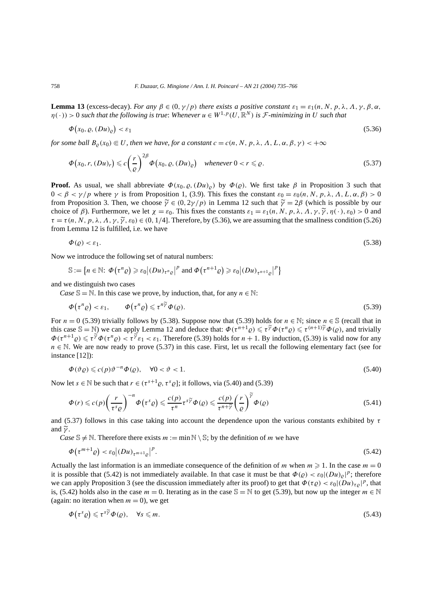**Lemma 13** (excess-decay). *For any*  $\beta \in (0, \gamma/p)$  *there exists a positive constant*  $\varepsilon_1 = \varepsilon_1(n, N, p, \lambda, \Lambda, \gamma, \beta, \alpha$ ,  $\eta(\cdot) > 0$  *such that the following is true: Whenever*  $u \in W^{1,p}(U,\mathbb{R}^N)$  *is F-minimizing in U such that* 

$$
\Phi(x_0, \varrho, (Du)_\varrho) < \varepsilon_1 \tag{5.36}
$$

*for some ball*  $B_0(x_0) \subseteq U$ , then we have, for a constant  $c = c(n, N, p, \lambda, \Lambda, L, \alpha, \beta, \gamma) < +\infty$ 

$$
\Phi(x_0, r, (Du)_r) \leq c \left(\frac{r}{\varrho}\right)^{2\beta} \Phi(x_0, \varrho, (Du)_\varrho) \quad \text{whenever } 0 < r \leq \varrho. \tag{5.37}
$$

**Proof.** As usual, we shall abbreviate  $\Phi(x_0, \rho, (Du)_{\rho})$  by  $\Phi(\rho)$ . We first take  $\beta$  in Proposition 3 such that 0 *< β < γ /p* where *γ* is from Proposition 1, (3.9). This fixes the constant *ε*<sup>0</sup> = *ε*0*(n, N, p, λ, Λ, L, α, β) >* 0 from Proposition 3. Then, we choose  $\tilde{\gamma} \in (0, 2\gamma/p)$  in Lemma 12 such that  $\tilde{\gamma} = 2\beta$  (which is possible by our choice of  $\beta$ ). Furthermore, we let  $\chi = \varepsilon_0$ . This fixes the constants  $\varepsilon_1 = \varepsilon_1(n, N, p, \lambda, \Lambda, \gamma, \tilde{\gamma}, \eta(\cdot), \varepsilon_0) > 0$  and  $\tau = \tau(n, N, p, \lambda, \Lambda, \gamma, \tilde{\gamma}, \varepsilon_0) \in (0, 1/4]$ . Therefore, by (5.36), we are assuming that the smallness condition (5.26) from Lemma 12 is fulfilled, i.e. we have

$$
\Phi(\varrho) < \varepsilon_1. \tag{5.38}
$$

Now we introduce the following set of natural numbers:

 $\mathbb{S} := \left\{ n \in \mathbb{N} : \Phi(\tau^n \varrho) \geqslant \varepsilon_0 \middle| (Du)_{\tau^n \varrho} \right|^p \text{ and } \Phi(\tau^{n+1} \varrho) \geqslant \varepsilon_0 \middle| (Du)_{\tau^{n+1} \varrho} \right|^p \right\}$ 

and we distinguish two cases

*Case*  $\mathbb{S} = \mathbb{N}$ . In this case we prove, by induction, that, for any  $n \in \mathbb{N}$ :

$$
\Phi(\tau^n \varrho) < \varepsilon_1, \qquad \Phi(\tau^n \varrho) \leqslant \tau^{n\widetilde{\gamma}} \Phi(\varrho). \tag{5.39}
$$

For  $n = 0$  (5.39) trivially follows by (5.38). Suppose now that (5.39) holds for  $n \in \mathbb{N}$ ; since  $n \in \mathbb{S}$  (recall that in this case  $\mathbb{S} = \mathbb{N}$ ) we can apply Lemma 12 and deduce that:  $\Phi(\tau^{n+1}\rho) \leq \tau^{\gamma} \Phi(\tau^n \rho) \leq \tau^{(n+1)\gamma} \Phi(\rho)$ , and trivially  $\Phi(\tau^{n+1}\varrho) \leq \tau^{\gamma}\Phi(\tau^{n}\varrho) < \tau^{\gamma}\varepsilon_1 < \varepsilon_1$ . Therefore (5.39) holds for  $n+1$ . By induction, (5.39) is valid now for any  $n \in \mathbb{N}$ . We are now ready to prove (5.37) in this case. First, let us recall the following elementary fact (see for instance [12]):

$$
\Phi(\vartheta \varrho) \leqslant c(p)\vartheta^{-n} \Phi(\varrho), \quad \forall 0 < \vartheta < 1. \tag{5.40}
$$

Now let  $s \in \mathbb{N}$  be such that  $r \in (\tau^{s+1} \rho, \tau^s \rho)$ ; it follows, via (5.40) and (5.39)

$$
\Phi(r) \leqslant c(p) \left(\frac{r}{\tau^s \varrho}\right)^{-n} \Phi\left(\tau^s \varrho\right) \leqslant \frac{c(p)}{\tau^n} \tau^{s\widetilde{\gamma}} \Phi(\varrho) \leqslant \frac{c(p)}{\tau^{n+\widetilde{\gamma}}} \left(\frac{r}{\varrho}\right)^{\widetilde{\gamma}} \Phi(\varrho) \tag{5.41}
$$

and (5.37) follows in this case taking into account the dependence upon the various constants exhibited by *τ* and  $\widetilde{\nu}$ .

*Case*  $\mathbb{S} \neq \mathbb{N}$ . Therefore there exists  $m := \min \mathbb{N} \setminus \mathbb{S}$ ; by the definition of *m* we have

$$
\Phi(\tau^{m+1}\varrho) < \varepsilon_0 \big| \left( Du \right)_{\tau^{m+1}\varrho} \big|^p. \tag{5.42}
$$

Actually the last information is an immediate consequence of the definition of *m* when  $m \ge 1$ . In the case  $m = 0$ it is possible that (5.42) is not immediately available. In that case it must be that  $\Phi(\varrho) < \varepsilon_0 |(Du)_{\varrho}|^p$ ; therefore we can apply Proposition 3 (see the discussion immediately after its proof) to get that  $\Phi(\tau \varrho) < \varepsilon_0 |(Du)_{\tau \varrho}|^p$ , that is, (5.42) holds also in the case  $m = 0$ . Iterating as in the case  $\mathbb{S} = \mathbb{N}$  to get (5.39), but now up the integer  $m \in \mathbb{N}$ (again: no iteration when  $m = 0$ ), we get

$$
\Phi(\tau^s \varrho) \leqslant \tau^{s\widetilde{\gamma}} \Phi(\varrho), \quad \forall s \leqslant m. \tag{5.43}
$$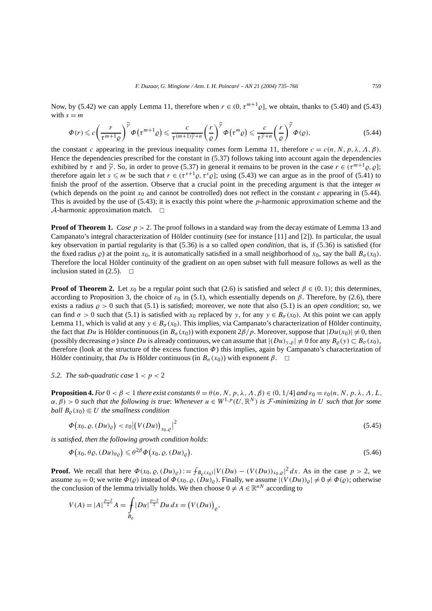Now, by (5.42) we can apply Lemma 11, therefore when  $r \in (0, \tau^{m+1}\varrho]$ , we obtain, thanks to (5.40) and (5.43) with  $s = m$ 

$$
\Phi(r) \leqslant c \left(\frac{r}{\tau^{m+1} \varrho}\right)^{\widetilde{\gamma}} \Phi\left(\tau^{m+1} \varrho\right) \leqslant \frac{c}{\tau^{(m+1)\widetilde{\gamma}+n}} \left(\frac{r}{\varrho}\right)^{\widetilde{\gamma}} \Phi\left(\tau^{m} \varrho\right) \leqslant \frac{c}{\tau^{\widetilde{\gamma}+n}} \left(\frac{r}{\varrho}\right)^{\widetilde{\gamma}} \Phi(\varrho),\tag{5.44}
$$

the constant *c* appearing in the previous inequality comes form Lemma 11, therefore  $c = c(n, N, p, \lambda, \Lambda, \beta)$ . Hence the dependencies prescribed for the constant in (5.37) follows taking into account again the dependencies exhibited by  $\tau$  and  $\tilde{\gamma}$ . So, in order to prove (5.37) in general it remains to be proven in the case  $r \in (\tau^{m+1}\varrho, \varrho)$ ; therefore again let  $s \le m$  be such that  $r \in (\tau^{s+1} \varrho, \tau^s \varrho]$ ; using (5.43) we can argue as in the proof of (5.41) to finish the proof of the assertion. Observe that a crucial point in the preceding argument is that the integer *m* (which depends on the point  $x_0$  and cannot be controlled) does not reflect in the constant  $c$  appearing in (5.44). This is avoided by the use of (5.43); it is exactly this point where the *p*-harmonic approximation scheme and the  $\mathcal A$ -harmonic approximation match.  $\Box$ 

**Proof of Theorem 1.** *Case*  $p > 2$ . The proof follows in a standard way from the decay estimate of Lemma 13 and Campanato's integral characterization of Hölder continuity (see for instance [11] and [2]). In particular, the usual key observation in partial regularity is that (5.36) is a so called *open condition*, that is, if (5.36) is satisfied (for the fixed radius  $\rho$ ) at the point  $x_0$ , it is automatically satisfied in a small neighborhood of  $x_0$ , say the ball  $B_\sigma(x_0)$ . Therefore the local Hölder continuity of the gradient on an open subset with full measure follows as well as the inclusion stated in  $(2.5)$ .  $\Box$ 

**Proof of Theorem 2.** Let  $x_0$  be a regular point such that (2.6) is satisfied and select  $\beta \in (0, 1)$ ; this determines, according to Proposition 3, the choice of  $\varepsilon_0$  in (5.1), which essentially depends on  $\beta$ . Therefore, by (2.6), there exists a radius  $\rho > 0$  such that (5.1) is satisfied; moreover, we note that also (5.1) is an *open condition*; so, we can find  $\sigma > 0$  such that (5.1) is satisfied with *x*<sub>0</sub> replaced by *y*, for any  $y \in B_{\sigma}(x_0)$ . At this point we can apply Lemma 11, which is valid at any  $y \in B_{\sigma}(x_0)$ . This implies, via Campanato's characterization of Hölder continuity, the fact that *Du* is Hölder continuous (in  $B_{\sigma}(x_0)$ ) with exponent  $2\beta/p$ . Moreover, suppose that  $|Du(x_0)| \neq 0$ , then (possibly decreasing  $\sigma$ ) since *Du* is already continuous, we can assume that  $|(Du)_{y,\rho}| \neq 0$  for any  $B_{\rho}(y) \subset B_{\sigma}(x_0)$ , therefore (look at the structure of the excess function *Φ*) this implies, again by Campanato's characterization of Hölder continuity, that *Du* is Hölder continuous (in  $B_\sigma(x_0)$ ) with exponent  $\beta$ .  $\Box$ 

#### *5.2. The sub-quadratic case*  $1 < p < 2$

**Proposition 4.** *For*  $0 < \beta < 1$  *there exist constants*  $\theta = \theta(n, N, p, \lambda, \Lambda, \beta) \in (0, 1/4]$  *and*  $\varepsilon_0 = \varepsilon_0(n, N, p, \lambda, \Lambda, L,$  $(\alpha, \beta) > 0$  *such that the following is true: Whenever*  $u \in W^{1,p}(U,\mathbb{R}^N)$  *is F-minimizing in U such that for some ball*  $B_0(x_0) \in U$  *the smallness condition* 

$$
\Phi(x_0, \varrho, (Du)_{\varrho}) < \varepsilon_0 \left| \left( V(Du) \right)_{x_0, \varrho} \right|^2 \tag{5.45}
$$

*is satisfied, then the following growth condition holds*:

$$
\Phi(x_0, \theta \varrho, (Du)_{\theta \varrho}) \leq \theta^{2\beta} \Phi(x_0, \varrho, (Du)_{\varrho}).
$$
\n(5.46)

**Proof.** We recall that here  $\Phi(x_0, \varrho, (Du)) = \int_{B_{\varrho}(x_0)} |V(Du) - (V(Du))_{x_0, \varrho}|^2 dx$ . As in the case  $p > 2$ , we assume  $x_0 = 0$ ; we write  $\Phi(\varrho)$  instead of  $\Phi(x_0, \varrho, (\bar{D}u)_{\varrho})$ . Finally, we assume  $|(V(Du))_{\varrho}| \neq 0 \neq \Phi(\varrho)$ ; otherwise the conclusion of the lemma trivially holds. We then choose  $0 \neq A \in \mathbb{R}^{nN}$  according to

$$
V(A) = |A|^{\frac{p-2}{2}} A = \int_{B_{\varrho}} |Du|^{\frac{p-2}{2}} Du \, dx = (V(Du))_{\varrho},
$$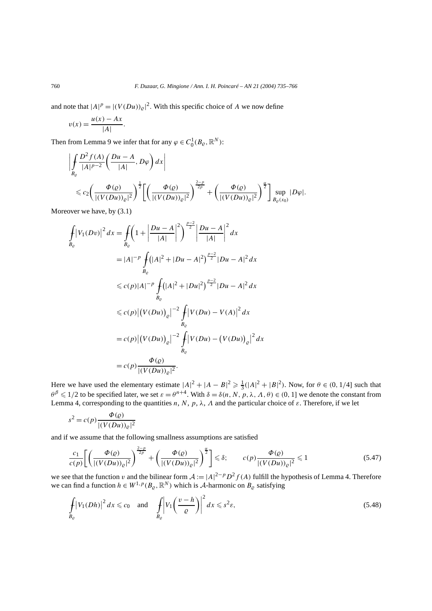and note that  $|A|^p = |(V(Du))_{\varrho}|^2$ . With this specific choice of *A* we now define

$$
v(x) = \frac{u(x) - Ax}{|A|}.
$$

Then from Lemma 9 we infer that for any  $\varphi \in C_0^1(B_\varrho, \mathbb{R}^N)$ :

$$
\left| \int_{B_{\varrho}} \frac{D^2 f(A)}{|A|^{p-2}} \left( \frac{Du - A}{|A|}, D\varphi \right) dx \right|
$$
  
\$\leq c\_2 \left( \frac{\Phi(\varrho)}{|(V(Du))\_{\varrho}|^2} \right)^{\frac{1}{2}} \left[ \left( \frac{\Phi(\varrho)}{|(V(Du))\_{\varrho}|^2} \right)^{\frac{2-p}{2p}} + \left( \frac{\Phi(\varrho)}{|(V(Du))\_{\varrho}|^2} \right)^{\frac{\alpha}{2}} \right] \sup\_{B\_{\varrho}(x\_0)} |D\varphi|.

Moreover we have, by (3.1)

$$
\int_{B_{\varrho}} |V_1(Dv)|^2 dx = \int_{B_{\varrho}} \left( 1 + \left| \frac{Du - A}{|A|} \right|^2 \right)^{\frac{p-2}{2}} \left| \frac{Du - A}{|A|} \right|^2 dx
$$
\n
$$
= |A|^{-p} \int_{B_{\varrho}} (|A|^2 + |Du - A|^2)^{\frac{p-2}{2}} |Du - A|^2 dx
$$
\n
$$
\leq c(p)|A|^{-p} \int_{B_{\varrho}} (|A|^2 + |Du|^2)^{\frac{p-2}{2}} |Du - A|^2 dx
$$
\n
$$
\leq c(p) |(V(Du))_{\varrho}|^{-2} \int_{B_{\varrho}} |V(Du) - V(A)|^2 dx
$$
\n
$$
= c(p) |(V(Du))_{\varrho}|^{-2} \int_{B_{\varrho}} |V(Du) - (V(Du))_{\varrho}|^2 dx
$$
\n
$$
= c(p) \frac{\Phi(\varrho)}{|(V(Du))_{\varrho}|^2}.
$$

Here we have used the elementary estimate  $|A|^2 + |A - B|^2 \ge \frac{1}{3}(|A|^2 + |B|^2)$ . Now, for  $\theta \in (0, 1/4]$  such that *θ*<sup>β</sup> ≤ 1/2 to be specified later, we set *ε* = *θ*<sup>*n*+4</sup>. With *δ* = *δ(n, N, p, λ, Λ, θ)* ∈ (0*,* 1] we denote the constant from Lemma 4, corresponding to the quantities *n*, *N*, *p*,  $\lambda$ , *A* and the particular choice of  $\varepsilon$ . Therefore, if we let

$$
s^{2} = c(p) \frac{\Phi(\varrho)}{|(V(Du))_{\varrho}|^{2}}
$$

and if we assume that the following smallness assumptions are satisfied

2−*p*

$$
\frac{c_1}{c(p)}\left[\left(\frac{\Phi(\varrho)}{\left|\left(V(Du)\right)_{\varrho}\right|^2}\right)^{\frac{2-p}{2p}}+\left(\frac{\Phi(\varrho)}{\left|\left(V(Du)\right)_{\varrho}\right|^2}\right)^{\frac{\alpha}{2}}\right]\leq \delta;\qquad c(p)\frac{\Phi(\varrho)}{\left|\left(V(Du)\right)_{\varrho}\right|^2}\leq 1\tag{5.47}
$$

we see that the function *v* and the bilinear form  $A := |A|^{2-p} D^2 f(A)$  fulfill the hypothesis of Lemma 4. Therefore we can find a function  $h \in W^{1,p}(B_{\varrho}, \mathbb{R}^N)$  which is A-harmonic on  $B_{\varrho}$  satisfying

$$
\int_{B_{\varrho}} |V_1(Dh)|^2 dx \leq c_0 \quad \text{and} \quad \int_{B_{\varrho}} \left| V_1\left(\frac{v-h}{\varrho}\right) \right|^2 dx \leqslant s^2 \varepsilon,
$$
\n
$$
(5.48)
$$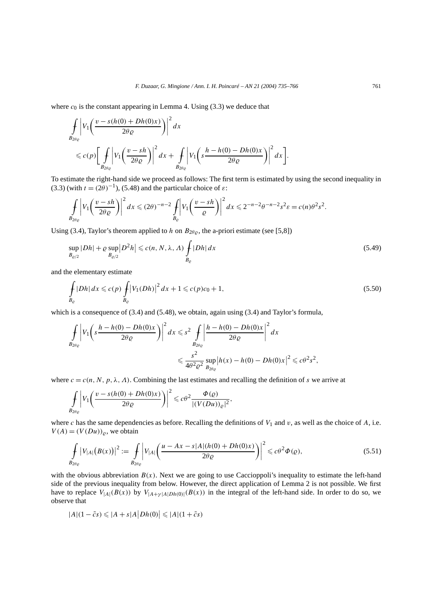where  $c_0$  is the constant appearing in Lemma 4. Using  $(3.3)$  we deduce that

$$
\int_{B_{2\theta_{\varrho}}} \left| V_{1}\left(\frac{v-s(h(0)+Dh(0)x)}{2\theta_{\varrho}}\right) \right|^{2} dx
$$
\n
$$
\leq c(p) \left[ \int_{B_{2\theta_{\varrho}}} \left| V_{1}\left(\frac{v-sh}{2\theta_{\varrho}}\right) \right|^{2} dx + \int_{B_{2\theta_{\varrho}}} \left| V_{1}\left(s\frac{h-h(0)-Dh(0)x}{2\theta_{\varrho}}\right) \right|^{2} dx \right].
$$

To estimate the right-hand side we proceed as follows: The first term is estimated by using the second inequality in (3.3) (with  $t = (2\theta)^{-1}$ ), (5.48) and the particular choice of  $\varepsilon$ :

$$
\int_{B_{2\theta_Q}} \left| V_1 \left( \frac{v - sh}{2\theta_Q} \right) \right|^2 dx \leqslant (2\theta)^{-n-2} \int_{B_Q} \left| V_1 \left( \frac{v - sh}{Q} \right) \right|^2 dx \leqslant 2^{-n-2} \theta^{-n-2} s^2 \varepsilon = c(n) \theta^2 s^2.
$$

Using (3.4), Taylor's theorem applied to *h* on  $B_{2\theta\rho}$ , the a-priori estimate (see [5,8])

$$
\sup_{B_{\varrho/2}} |Dh| + \varrho \sup_{B_{\varrho/2}} |D^2 h| \leqslant c(n, N, \lambda, \Lambda) \int_{B_{\varrho}} |Dh| dx \tag{5.49}
$$

and the elementary estimate

$$
\int_{B_{\varrho}} |Dh| \, dx \leqslant c(p) \int_{B_{\varrho}} |V_1(Dh)|^2 \, dx + 1 \leqslant c(p)c_0 + 1,\tag{5.50}
$$

which is a consequence of  $(3.4)$  and  $(5.48)$ , we obtain, again using  $(3.4)$  and Taylor's formula,

$$
\int_{B_{2\theta_{\varrho}}} \left| V_1 \left( s \frac{h - h(0) - Dh(0)x}{2\theta_{\varrho}} \right) \right|^2 dx \leq s^2 \int_{B_{2\theta_{\varrho}}} \left| \frac{h - h(0) - Dh(0)x}{2\theta_{\varrho}} \right|^2 dx
$$
  

$$
\leq \frac{s^2}{4\theta^2 \varrho^2} \sup_{B_{2\theta_{\varrho}}} |h(x) - h(0) - Dh(0)x|^2 \leq c\theta^2 s^2,
$$

where  $c = c(n, N, p, \lambda, \Lambda)$ . Combining the last estimates and recalling the definition of *s* we arrive at

$$
\int_{B_{2\theta_{\varrho}}} \left| V_1\left(\frac{v-s(h(0)+Dh(0)x)}{2\theta_{\varrho}}\right) \right|^2 \leqslant c\theta^2 \frac{\Phi(\varrho)}{|(V(Du))_{\varrho}|^2},
$$

where  $c$  has the same dependencies as before. Recalling the definitions of  $V_1$  and  $v$ , as well as the choice of  $A$ , i.e.  $V(A) = (V(Du))_\rho$ , we obtain

$$
\int_{B_{2\theta_{\varrho}}} |V_{|A|}(B(x))|^2 := \int_{B_{2\theta_{\varrho}}} |V_{|A|}\left(\frac{u - Ax - s|A|(h(0) + Dh(0)x)}{2\theta_{\varrho}}\right)|^2 \leq c\theta^2 \Phi(\varrho),\tag{5.51}
$$

with the obvious abbreviation  $B(x)$ . Next we are going to use Caccioppoli's inequality to estimate the left-hand side of the previous inequality from below. However, the direct application of Lemma 2 is not possible. We first have to replace  $V_{|A|}(B(x))$  by  $V_{|A+\gamma|A|Dh(0)|}(B(x))$  in the integral of the left-hand side. In order to do so, we observe that

$$
|A|(1-\tilde{c}s) \leqslant |A+s|A|Dh(0)| \leqslant |A|(1+\tilde{c}s)
$$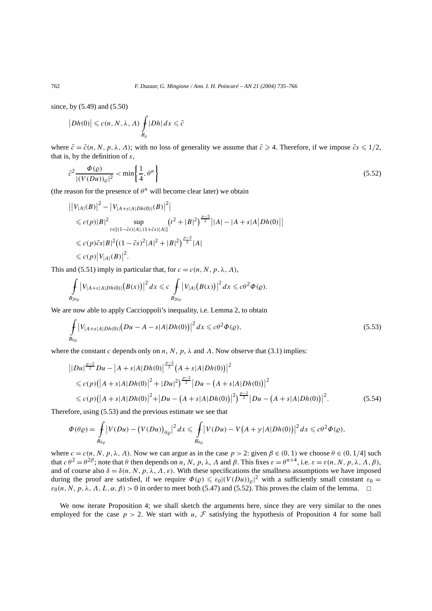since, by (5.49) and (5.50)

$$
\big| Dh(0) \big| \leqslant c(n, N, \lambda, \Lambda) \int\limits_{B_{\varrho}} |Dh| \, dx \leqslant \tilde{c}
$$

where  $\tilde{c} = \tilde{c}(n, N, p, \lambda, \Lambda)$ ; with no loss of generality we assume that  $\tilde{c} \ge 4$ . Therefore, if we impose  $\tilde{c} s \le 1/2$ , that is, by the definition of *s*,

$$
\tilde{c}^2 \frac{\Phi(\varrho)}{|(V(Du))_\varrho|^2} < \min\left\{\frac{1}{4}, \theta^n\right\} \tag{5.52}
$$

(the reason for the presence of  $\theta^n$  will become clear later) we obtain

$$
\begin{aligned}\n&\left|\left|V_{|A|}(B)\right|^2 - \left|V_{|A+s|A|Dh(0)|}(B)\right|^2\right| \\
&\leqslant c(p)|B|^2 \sup_{t \in [(1-\tilde{c}s)|A|,(1+\tilde{c}s)|A|]}(t^2 + |B|^2)^{\frac{p-3}{2}}\left||A| - |A+s|A\right|Dh(0)\right| \\
&\leqslant c(p)\tilde{c}s|B|^2\left((1-\tilde{c}s)^2|A|^2 + |B|^2\right)^{\frac{p-3}{2}}|A| \\
&\leqslant c(p)\left|V_{|A|}(B)\right|^2.\n\end{aligned}
$$

This and (5.51) imply in particular that, for  $c = c(n, N, p, \lambda, \Lambda)$ ,

$$
\int_{B_{2\theta_Q}}\big|V_{|A+s|A|Dh(0)|}(B(x))\big|^2\,dx\leqslant c\int_{B_{2\theta_Q}}\big|V_{|A|}\big(B(x)\big)\big|^2\,dx\leqslant c\theta^2\Phi(Q).
$$

We are now able to apply Caccioppoli's inequality, i.e. Lemma 2, to obtain

$$
\int_{B_{\theta_{\varrho}}} \left| V_{|A+s|A|Dh(0)|} \left( Du - A - s|A|Dh(0) \right) \right|^2 dx \leq c\theta^2 \Phi(\varrho),\tag{5.53}
$$

where the constant *c* depends only on *n*, *N*, *p*,  $\lambda$  and *A*. Now observe that (3.1) implies:

$$
\|Du\|^{\frac{p-2}{2}}Du - |A+s|A|Dh(0)|^{\frac{p-2}{2}}(A+s|A|Dh(0))|^2
$$
  
\n
$$
\leq c(p)(|A+s|A|Dh(0)|^2 + |Du|^2)^{\frac{p-2}{2}}|Du - (A+s|A|Dh(0))|^2
$$
  
\n
$$
\leq c(p)(|A+s|A|Dh(0)|^2 + |Du - (A+s|A|Dh(0))|^2)^{\frac{p-2}{2}}|Du - (A+s|A|Dh(0))|^2.
$$
\n(5.54)

Therefore, using (5.53) and the previous estimate we see that

$$
\Phi(\theta \varrho) = \int_{B_{\theta \varrho}} \left| V(Du) - (V(Du))_{\theta \varrho} \right|^2 dx \leq \int_{B_{\theta \varrho}} \left| V(Du) - V(A + \gamma |A| Dh(0)) \right|^2 dx \leq c\theta^2 \Phi(\varrho),
$$

where  $c = c(n, N, p, \lambda, \Lambda)$ . Now we can argue as in the case  $p > 2$ : given  $\beta \in (0, 1)$  we choose  $\theta \in (0, 1/4]$  such that  $c \theta^2 = \theta^{2\beta}$ ; note that  $\theta$  then depends on *n*, *N*, *p*,  $\lambda$ , *A* and  $\beta$ . This fixes  $\varepsilon = \theta^{n+4}$ , i.e.  $\varepsilon = \varepsilon(n, N, p, \lambda, \Lambda, \beta)$ , and of course also  $\delta = \delta(n, N, p, \lambda, \Lambda, \varepsilon)$ . With these specifications the smallness assumptions we have imposed during the proof are satisfied, if we require  $\Phi(\varrho) \leq \varepsilon_0 |(V(Du))_{\varrho}|^2$  with a sufficiently small constant  $\varepsilon_0 =$  $\varepsilon_0(n, N, p, \lambda, \Lambda, L, \alpha, \beta) > 0$  in order to meet both (5.47) and (5.52). This proves the claim of the lemma.  $\Box$ 

We now iterate Proposition 4; we shall sketch the arguments here, since they are very similar to the ones employed for the case  $p > 2$ . We start with *u*, *F* satisfying the hypothesis of Proposition 4 for some ball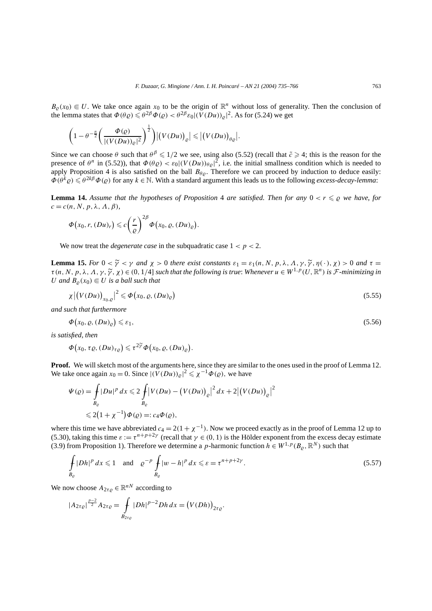$B_{\rho}(x_0) \in U$ . We take once again  $x_0$  to be the origin of  $\mathbb{R}^n$  without loss of generality. Then the conclusion of the lemma states that  $\Phi(\theta \varrho) \leq \theta^{2\beta} \Phi(\varrho) < \theta^{2\beta} \varepsilon_0 |(V(Du))_{\varrho}|^2$ . As for (5.24) we get

$$
\left(1-\theta^{-\frac{n}{2}}\left(\frac{\Phi(\varrho)}{|(V(Du))_{\varrho}|^2}\right)^{\frac{1}{2}}\right)|(V(Du))_{\varrho}| \leq |(V(Du))_{\theta\varrho}|.
$$

Since we can choose  $\theta$  such that  $\theta^{\beta} \leq 1/2$  we see, using also (5.52) (recall that  $\tilde{c} \geq 4$ ; this is the reason for the presence of  $\theta^n$  in (5.52)), that  $\Phi(\theta \varrho) < \varepsilon_0 | (V(Du))_{\theta \varrho}|^2$ , i.e. the initial smallness condition which is needed to apply Proposition 4 is also satisfied on the ball  $B_{\theta\rho}$ . Therefore we can proceed by induction to deduce easily:  $\Phi(\theta^k \varrho) \leq \theta^{2k\beta} \Phi(\varrho)$  for any  $k \in \mathbb{N}$ . With a standard argument this leads us to the following *excess-decay-lemma*:

**Lemma 14.** Assume that the hypotheses of Proposition 4 are satisfied. Then for any  $0 < r \leq \rho$  we have, for  $c = c(n, N, p, \lambda, \Lambda, \beta)$ 

*.*

$$
\Phi(x_0,r,(Du)_r)\leqslant c\bigg(\frac{r}{\varrho}\bigg)^{2\beta}\Phi(x_0,\varrho,(Du)_\varrho\big)
$$

We now treat the *degenerate case* in the subquadratic case  $1 < p < 2$ .

**Lemma 15.** *For*  $0 < \tilde{\gamma} < \gamma$  *and*  $\chi > 0$  *there exist constants*  $\varepsilon_1 = \varepsilon_1(n, N, p, \lambda, \Lambda, \gamma, \tilde{\gamma}, \eta(\cdot), \chi) > 0$  *and*  $\tau =$  $\tau(n, N, p, \lambda, \Lambda, \gamma, \tilde{\gamma}, \chi) \in (0, 1/4]$  *such that the following is true: Whenever*  $u \in W^{1, p}(U, \mathbb{R}^n)$  *is F*-minimizing in *U* and  $B_0(x_0) \in U$  *is a ball such that* 

$$
\chi \left| \left( V(Du) \right)_{x_0, \varrho} \right|^2 \leqslant \Phi \left( x_0, \varrho, (Du)_{\varrho} \right) \tag{5.55}
$$

*and such that furthermore*

$$
\Phi(x_0, \varrho, (Du)_\varrho) \leq \varepsilon_1,\tag{5.56}
$$

*is satisfied, then*

$$
\Phi(x_0, \tau \varrho, (Du)_{\tau \varrho}) \leq \tau^{2\widetilde{\gamma}} \Phi(x_0, \varrho, (Du)_{\varrho}).
$$

**Proof.** We will sketch most of the arguments here, since they are similar to the ones used in the proof of Lemma 12. We take once again  $x_0 = 0$ . Since  $|(V(Du))_{\varrho}|^2 \le \chi^{-1} \Phi(\varrho)$ , we have

$$
\Psi(\varrho) = \int_{B_{\varrho}} |Du|^p \, dx \leq 2 \int_{B_{\varrho}} |V(Du) - (V(Du))_{\varrho}|^2 \, dx + 2 |(V(Du))_{\varrho}|^2
$$
  

$$
\leq 2(1 + \chi^{-1}) \Phi(\varrho) =: c_4 \Phi(\varrho),
$$

where this time we have abbreviated  $c_4 = 2(1 + \chi^{-1})$ . Now we proceed exactly as in the proof of Lemma 12 up to (5.30), taking this time  $\varepsilon := \tau^{n+p+2\gamma}$  (recall that  $\gamma \in (0,1)$  is the Hölder exponent from the excess decay estimate (3.9) from Proposition 1). Therefore we determine a *p*-harmonic function  $h \in W^{1,p}(B_\rho, \mathbb{R}^N)$  such that

$$
\int_{B_{\varrho}} |Dh|^p \, dx \leq 1 \quad \text{and} \quad \varrho^{-p} \int_{B_{\varrho}} |w - h|^p \, dx \leqslant \varepsilon = \tau^{n+p+2\gamma}.
$$
\n
$$
(5.57)
$$

We now choose  $A_{2\tau\rho} \in \mathbb{R}^{nN}$  according to

$$
|A_{2\tau\varrho}|^{\frac{p-2}{2}}A_{2\tau\varrho} = \int\limits_{B_{2\tau\varrho}} |Dh|^{p-2} Dh \, dx = (V(Dh))_{2\tau\varrho}.
$$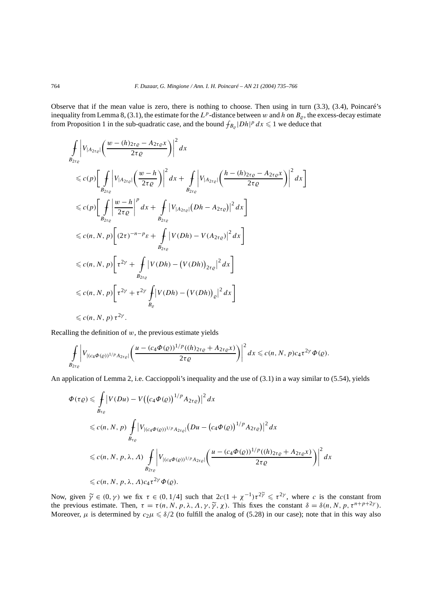Observe that if the mean value is zero, there is nothing to choose. Then using in turn (3.3), (3.4), Poincaré's inequality from Lemma 8, (3.1), the estimate for the  $L^p$ -distance between *w* and *h* on  $B_\rho$ , the excess-decay estimate from Proposition 1 in the sub-quadratic case, and the bound  $f_{B_{\varrho}}|Dh|^p dx \leq 1$  we deduce that

$$
\int_{B_{2\tau_{\varrho}}} \left| V_{|A_{2\tau_{\varrho}}|} \left( \frac{w - (h)_{2\tau_{\varrho}} - A_{2\tau_{\varrho}x}}{2\tau_{\varrho}} \right) \right|^2 dx
$$
\n
$$
\leq c(p) \left[ \int_{B_{2\tau_{\varrho}}} \left| V_{|A_{2\tau_{\varrho}}|} \left( \frac{w - h}{2\tau_{\varrho}} \right) \right|^2 dx + \int_{B_{2\tau_{\varrho}}} \left| V_{|A_{2\tau_{\varrho}}|} \left( \frac{h - (h)_{2\tau_{\varrho}} - A_{2\tau_{\varrho}x}}{2\tau_{\varrho}} \right) \right|^2 dx \right]
$$
\n
$$
\leq c(p) \left[ \int_{B_{2\tau_{\varrho}}} \left| \frac{w - h}{2\tau_{\varrho}} \right|^p dx + \int_{B_{2\tau_{\varrho}}} \left| V_{|A_{2\tau_{\varrho}}|} (Dh - A_{2\tau_{\varrho}}) \right|^2 dx \right]
$$
\n
$$
\leq c(n, N, p) \left[ (2\tau)^{-n - p} \varepsilon + \int_{B_{2\tau_{\varrho}}} \left| V(Dh) - V(A_{2\tau_{\varrho}}) \right|^2 dx \right]
$$
\n
$$
\leq c(n, N, p) \left[ \tau^{2\gamma} + \int_{B_{2\tau_{\varrho}}} \left| V(Dh) - (V(Dh))_{2\tau_{\varrho}} \right|^2 dx \right]
$$
\n
$$
\leq c(n, N, p) \left[ \tau^{2\gamma} + \tau^{2\gamma} \int_{B_{\varrho}} \left| V(Dh) - (V(Dh))_{\varrho} \right|^2 dx \right]
$$
\n
$$
\leq c(n, N, p) \tau^{2\gamma}.
$$

Recalling the definition of  $w$ , the previous estimate yields

$$
\int_{B_{2\tau_{\varrho}}} \left| V_{|(c_4\Phi(\varrho))^{1/p}A_{2\tau_{\varrho}}|} \left( \frac{u - (c_4\Phi(\varrho))^{1/p}((h)_{2\tau_{\varrho}} + A_{2\tau_{\varrho}}x)}{2\tau_{\varrho}} \right) \right|^2 dx \leqslant c(n, N, p)c_4\tau^{2\gamma}\Phi(\varrho).
$$

An application of Lemma 2, i.e. Caccioppoli's inequality and the use of (3.1) in a way similar to (5.54), yields

$$
\Phi(\tau \varrho) \leq \int_{B_{\tau_{\varrho}}} \left| V(Du) - V((c_4 \Phi(\varrho))^{1/p} A_{2\tau \varrho}) \right|^2 dx
$$
  
\n
$$
\leq c(n, N, p) \int_{B_{\tau_{\varrho}}} \left| V_{|(c_4 \Phi(\varrho))^{1/p} A_{2\tau \varrho}|} (Du - (c_4 \Phi(\varrho))^{1/p} A_{2\tau \varrho}) \right|^2 dx
$$
  
\n
$$
\leq c(n, N, p, \lambda, \Lambda) \int_{B_{2\tau_{\varrho}}} \left| V_{|(c_4 \Phi(\varrho))^{1/p} A_{2\tau \varrho}|} \left( \frac{u - (c_4 \Phi(\varrho))^{1/p} ((h)_{2\tau \varrho} + A_{2\tau \varrho} x)}{2\tau \varrho} \right) \right|^2 dx
$$
  
\n
$$
\leq c(n, N, p, \lambda, \Lambda) c_4 \tau^{2\gamma} \Phi(\varrho).
$$

Now, given  $\widetilde{\gamma} \in (0, \gamma)$  we fix  $\tau \in (0, 1/4]$  such that  $2c(1 + \chi^{-1})\tau^{2\widetilde{\gamma}} \leq \tau^{2\gamma}$ , where *c* is the constant from the constant from the constant from the constant from the constant from the constant  $\widetilde{\gamma} =$ the previous estimate. Then,  $\tau = \tau(n, N, p, \lambda, \Lambda, \gamma, \tilde{\gamma}, \chi)$ . This fixes the constant  $\delta = \delta(n, N, p, \tau^{n+p+2\gamma})$ . Moreover,  $\mu$  is determined by  $c_2\mu \leq \delta/2$  (to fulfill the analog of (5.28) in our case); note that in this way also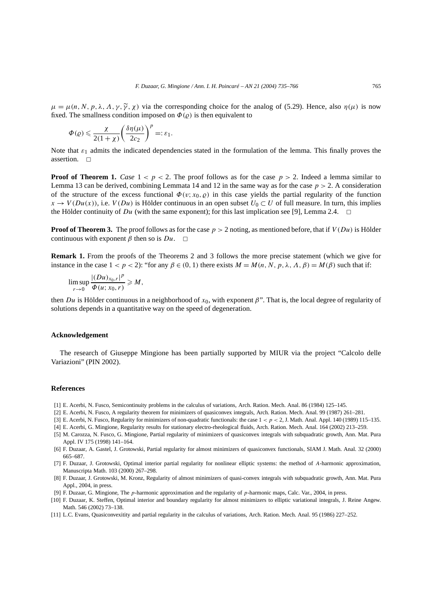$\mu = \mu(n, N, p, \lambda, \Lambda, \gamma, \tilde{\gamma}, \chi)$  via the corresponding choice for the analog of (5.29). Hence, also  $\eta(\mu)$  is now fixed. The smallness condition imposed on  $\Phi(\varrho)$  is then equivalent to

$$
\Phi(\varrho) \leqslant \frac{\chi}{2(1+\chi)} \bigg( \frac{\delta \eta(\mu)}{2c_2} \bigg)^p =: \varepsilon_1.
$$

Note that  $\varepsilon_1$  admits the indicated dependencies stated in the formulation of the lemma. This finally proves the assertion.  $\square$ 

**Proof of Theorem 1.** *Case*  $1 < p < 2$ . The proof follows as for the case  $p > 2$ . Indeed a lemma similar to Lemma 13 can be derived, combining Lemmata 14 and 12 in the same way as for the case  $p > 2$ . A consideration of the structure of the excess functional  $\Phi(v; x_0, \rho)$  in this case yields the partial regularity of the function  $x \to V(Du(x))$ , i.e.  $V(Du)$  is Hölder continuous in an open subset  $U_0 \subset U$  of full measure. In turn, this implies the Hölder continuity of *Du* (with the same exponent); for this last implication see [9], Lemma 2.4.  $\Box$ 

**Proof of Theorem 3.** The proof follows as for the case  $p > 2$  noting, as mentioned before, that if  $V(Du)$  is Hölder continuous with exponent  $\beta$  then so is  $Du$ .  $\Box$ 

**Remark 1.** From the proofs of the Theorems 2 and 3 follows the more precise statement (which we give for instance in the case  $1 < p < 2$ ): "for any  $\beta \in (0, 1)$  there exists  $M = M(n, N, p, \lambda, \Lambda, \beta) = M(\beta)$  such that if:

$$
\limsup_{r\to 0}\frac{|(Du)_{x_0,r}|^p}{\Phi(u;x_0,r)}\geqslant M,
$$

then *Du* is Hölder continuous in a neighborhood of *x*0, with exponent *β*". That is, the local degree of regularity of solutions depends in a quantitative way on the speed of degeneration.

#### **Acknowledgement**

The research of Giuseppe Mingione has been partially supported by MIUR via the project "Calcolo delle Variazioni" (PIN 2002).

#### **References**

- [1] E. Acerbi, N. Fusco, Semicontinuity problems in the calculus of variations, Arch. Ration. Mech. Anal. 86 (1984) 125–145.
- [2] E. Acerbi, N. Fusco, A regularity theorem for minimizers of quasiconvex integrals, Arch. Ration. Mech. Anal. 99 (1987) 261–281.
- [3] E. Acerbi, N. Fusco, Regularity for minimizers of non-quadratic functionals: the case  $1 < p < 2$ , J. Math. Anal. Appl. 140 (1989) 115–135.
- [4] E. Acerbi, G. Mingione, Regularity results for stationary electro-rheological fluids, Arch. Ration. Mech. Anal. 164 (2002) 213–259.
- [5] M. Carozza, N. Fusco, G. Mingione, Partial regularity of minimizers of quasiconvex integrals with subquadratic growth, Ann. Mat. Pura Appl. IV 175 (1998) 141–164.
- [6] F. Duzaar, A. Gastel, J. Grotowski, Partial regularity for almost minimizers of quasiconvex functionals, SIAM J. Math. Anal. 32 (2000) 665–687.
- [7] F. Duzaar, J. Grotowski, Optimal interior partial regularity for nonlinear elliptic systems: the method of *A*-harmonic approximation, Manuscripta Math. 103 (2000) 267–298.
- [8] F. Duzaar, J. Grotowski, M. Kronz, Regularity of almost minimizers of quasi-convex integrals with subquadratic growth, Ann. Mat. Pura Appl., 2004, in press.
- [9] F. Duzaar, G. Mingione, The *p*-harmonic approximation and the regularity of *p*-harmonic maps, Calc. Var., 2004, in press.
- [10] F. Duzaar, K. Steffen, Optimal interior and boundary regularity for almost minimizers to elliptic variational integrals, J. Reine Angew. Math. 546 (2002) 73–138.
- [11] L.C. Evans, Quasiconvexitity and partial regularity in the calculus of variations, Arch. Ration. Mech. Anal. 95 (1986) 227–252.